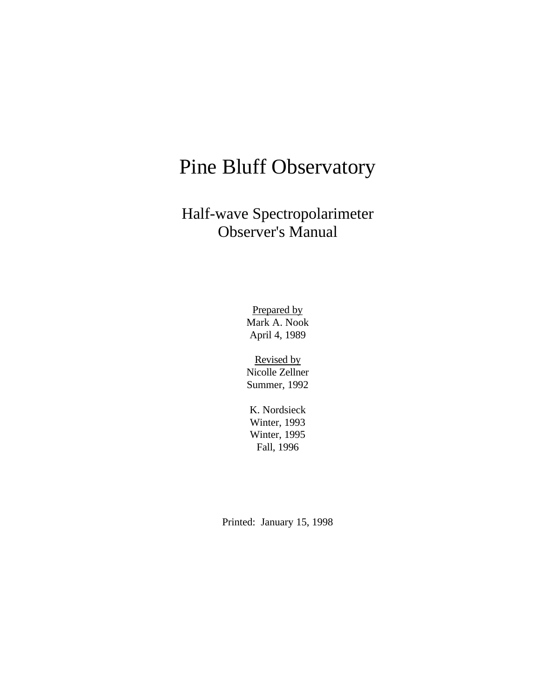# Pine Bluff Observatory

Half-wave Spectropolarimeter Observer's Manual

> Prepared by Mark A. Nook April 4, 1989

> Revised by Nicolle Zellner Summer, 1992

K. Nordsieck Winter, 1993 Winter, 1995 Fall, 1996

Printed: January 15, 1998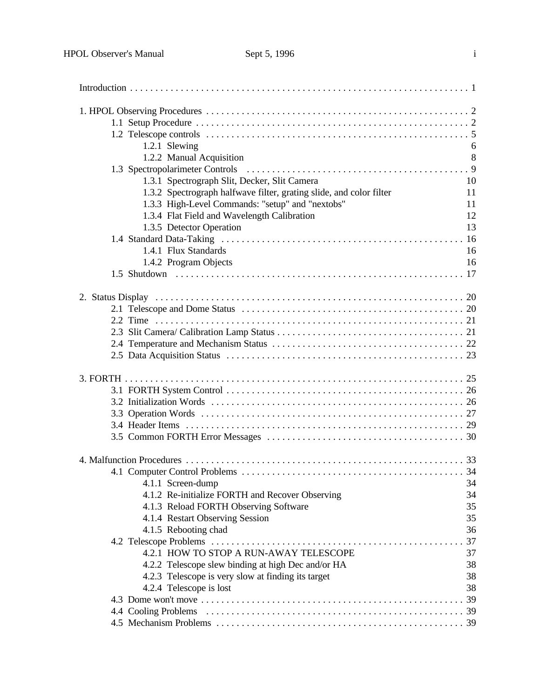| 1.2.1 Slewing                                                                                   | 6  |
|-------------------------------------------------------------------------------------------------|----|
| 1.2.2 Manual Acquisition                                                                        | 8  |
|                                                                                                 |    |
| 1.3.1 Spectrograph Slit, Decker, Slit Camera                                                    | 10 |
| 1.3.2 Spectrograph halfwave filter, grating slide, and color filter                             | 11 |
|                                                                                                 | 11 |
| 1.3.3 High-Level Commands: "setup" and "nextobs"<br>1.3.4 Flat Field and Wavelength Calibration | 12 |
|                                                                                                 | 13 |
| 1.3.5 Detector Operation                                                                        |    |
|                                                                                                 |    |
| 1.4.1 Flux Standards                                                                            | 16 |
| 1.4.2 Program Objects                                                                           | 16 |
|                                                                                                 |    |
|                                                                                                 |    |
|                                                                                                 |    |
|                                                                                                 |    |
|                                                                                                 |    |
|                                                                                                 |    |
|                                                                                                 |    |
|                                                                                                 |    |
|                                                                                                 |    |
|                                                                                                 |    |
|                                                                                                 |    |
|                                                                                                 |    |
|                                                                                                 |    |
|                                                                                                 |    |
|                                                                                                 |    |
|                                                                                                 |    |
|                                                                                                 |    |
| 4.1.1 Screen-dump                                                                               | 34 |
| 4.1.2 Re-initialize FORTH and Recover Observing                                                 | 34 |
| 4.1.3 Reload FORTH Observing Software                                                           | 35 |
| 4.1.4 Restart Observing Session                                                                 | 35 |
| 4.1.5 Rebooting chad                                                                            | 36 |
|                                                                                                 | 37 |
| 4.2.1 HOW TO STOP A RUN-AWAY TELESCOPE                                                          | 37 |
| 4.2.2 Telescope slew binding at high Dec and/or HA                                              | 38 |
| 4.2.3 Telescope is very slow at finding its target                                              | 38 |
| 4.2.4 Telescope is lost                                                                         | 38 |
|                                                                                                 |    |
|                                                                                                 |    |
|                                                                                                 |    |
|                                                                                                 |    |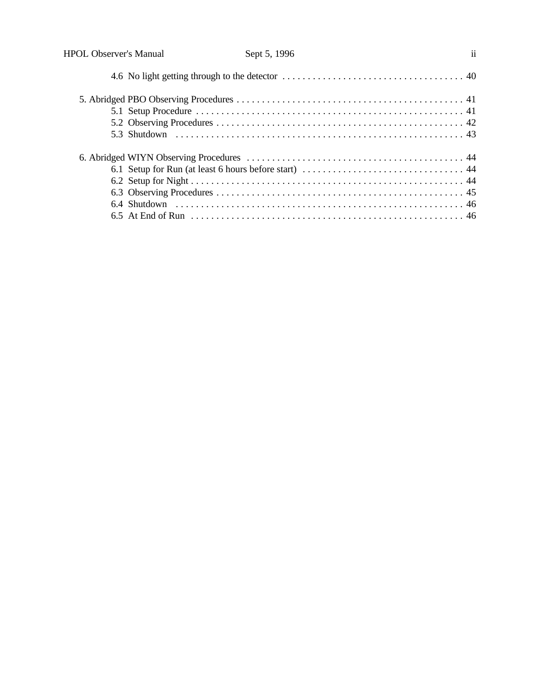| <b>HPOL Observer's Manual</b> | Sept 5, 1996 | $\mathbf{ii}$ |
|-------------------------------|--------------|---------------|
|                               |              |               |
|                               |              |               |
|                               |              |               |
|                               |              |               |
|                               |              |               |
|                               |              |               |
|                               |              |               |
|                               |              |               |
|                               |              |               |
|                               |              |               |
|                               |              |               |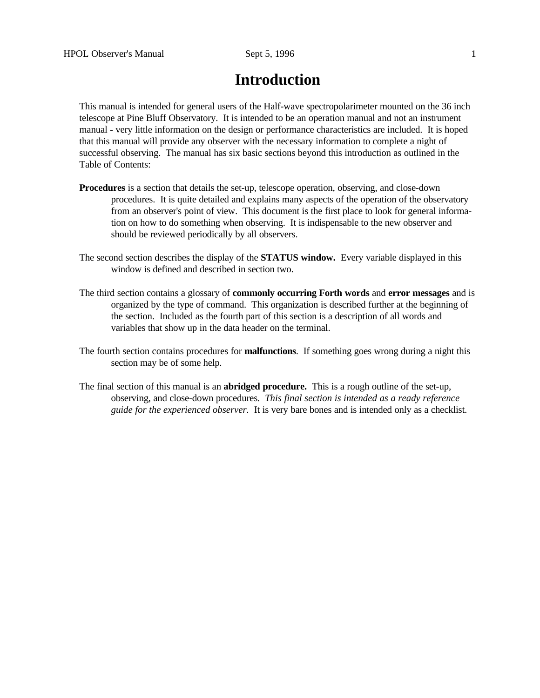# **Introduction**

This manual is intended for general users of the Half-wave spectropolarimeter mounted on the 36 inch telescope at Pine Bluff Observatory. It is intended to be an operation manual and not an instrument manual - very little information on the design or performance characteristics are included. It is hoped that this manual will provide any observer with the necessary information to complete a night of successful observing. The manual has six basic sections beyond this introduction as outlined in the Table of Contents:

- **Procedures** is a section that details the set-up, telescope operation, observing, and close-down procedures. It is quite detailed and explains many aspects of the operation of the observatory from an observer's point of view. This document is the first place to look for general information on how to do something when observing. It is indispensable to the new observer and should be reviewed periodically by all observers.
- The second section describes the display of the **STATUS window.** Every variable displayed in this window is defined and described in section two.
- The third section contains a glossary of **commonly occurring Forth words** and **error messages** and is organized by the type of command. This organization is described further at the beginning of the section. Included as the fourth part of this section is a description of all words and variables that show up in the data header on the terminal.
- The fourth section contains procedures for **malfunctions**. If something goes wrong during a night this section may be of some help.
- The final section of this manual is an **abridged procedure.** This is a rough outline of the set-up, observing, and close-down procedures. *This final section is intended as a ready reference guide for the experienced observer.* It is very bare bones and is intended only as a checklist.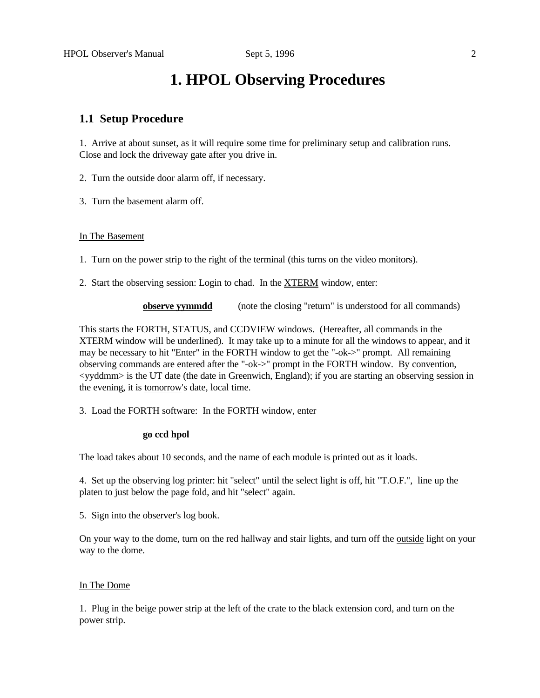# **1. HPOL Observing Procedures**

# **1.1 Setup Procedure**

1. Arrive at about sunset, as it will require some time for preliminary setup and calibration runs. Close and lock the driveway gate after you drive in.

2. Turn the outside door alarm off, if necessary.

3. Turn the basement alarm off.

#### In The Basement

1. Turn on the power strip to the right of the terminal (this turns on the video monitors).

2. Start the observing session: Login to chad. In the XTERM window, enter:

**observe yymmdd** (note the closing "return" is understood for all commands)

This starts the FORTH, STATUS, and CCDVIEW windows. (Hereafter, all commands in the XTERM window will be underlined). It may take up to a minute for all the windows to appear, and it may be necessary to hit "Enter" in the FORTH window to get the "-ok->" prompt. All remaining observing commands are entered after the "-ok->" prompt in the FORTH window. By convention, <yyddmm> is the UT date (the date in Greenwich, England); if you are starting an observing session in the evening, it is tomorrow's date, local time.

3. Load the FORTH software: In the FORTH window, enter

#### **go ccd hpol**

The load takes about 10 seconds, and the name of each module is printed out as it loads.

4. Set up the observing log printer: hit "select" until the select light is off, hit "T.O.F.", line up the platen to just below the page fold, and hit "select" again.

5. Sign into the observer's log book.

On your way to the dome, turn on the red hallway and stair lights, and turn off the outside light on your way to the dome.

#### In The Dome

1. Plug in the beige power strip at the left of the crate to the black extension cord, and turn on the power strip.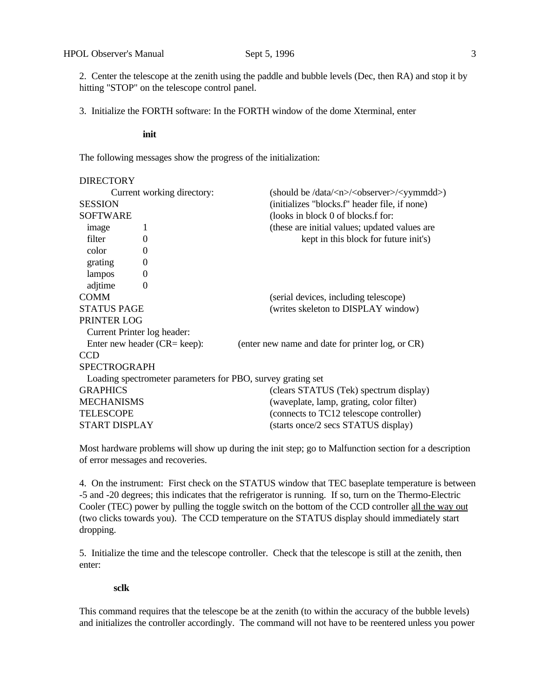2. Center the telescope at the zenith using the paddle and bubble levels (Dec, then RA) and stop it by hitting "STOP" on the telescope control panel.

3. Initialize the FORTH software: In the FORTH window of the dome Xterminal, enter

**init**

The following messages show the progress of the initialization:

| <b>DIRECTORY</b>     |                                                             |                                                                    |
|----------------------|-------------------------------------------------------------|--------------------------------------------------------------------|
|                      | Current working directory:                                  | (should be /data/ <n>/<observer>/<yymmdd>)</yymmdd></observer></n> |
| <b>SESSION</b>       |                                                             | (initializes "blocks.f" header file, if none)                      |
| <b>SOFTWARE</b>      |                                                             | (looks in block 0 of blocks.f for:                                 |
| image                |                                                             | (these are initial values; updated values are                      |
| filter               | $\Omega$                                                    | kept in this block for future init's)                              |
| color                | $\overline{0}$                                              |                                                                    |
| grating              | $\theta$                                                    |                                                                    |
| lampos               | $\boldsymbol{0}$                                            |                                                                    |
| adjtime              | $\theta$                                                    |                                                                    |
| <b>COMM</b>          |                                                             | (serial devices, including telescope)                              |
| <b>STATUS PAGE</b>   |                                                             | (writes skeleton to DISPLAY window)                                |
| PRINTER LOG          |                                                             |                                                                    |
|                      | Current Printer log header:                                 |                                                                    |
|                      | Enter new header $(CR = keep)$ :                            | (enter new name and date for printer log, or CR)                   |
| <b>CCD</b>           |                                                             |                                                                    |
| <b>SPECTROGRAPH</b>  |                                                             |                                                                    |
|                      | Loading spectrometer parameters for PBO, survey grating set |                                                                    |
| <b>GRAPHICS</b>      |                                                             | (clears STATUS (Tek) spectrum display)                             |
| <b>MECHANISMS</b>    |                                                             | (waveplate, lamp, grating, color filter)                           |
| <b>TELESCOPE</b>     |                                                             | (connects to TC12 telescope controller)                            |
| <b>START DISPLAY</b> |                                                             | (starts once/2 secs STATUS display)                                |
|                      |                                                             |                                                                    |

Most hardware problems will show up during the init step; go to Malfunction section for a description of error messages and recoveries.

4. On the instrument: First check on the STATUS window that TEC baseplate temperature is between -5 and -20 degrees; this indicates that the refrigerator is running. If so, turn on the Thermo-Electric Cooler (TEC) power by pulling the toggle switch on the bottom of the CCD controller all the way out (two clicks towards you). The CCD temperature on the STATUS display should immediately start dropping.

5. Initialize the time and the telescope controller. Check that the telescope is still at the zenith, then enter:

# **sclk**

This command requires that the telescope be at the zenith (to within the accuracy of the bubble levels) and initializes the controller accordingly. The command will not have to be reentered unless you power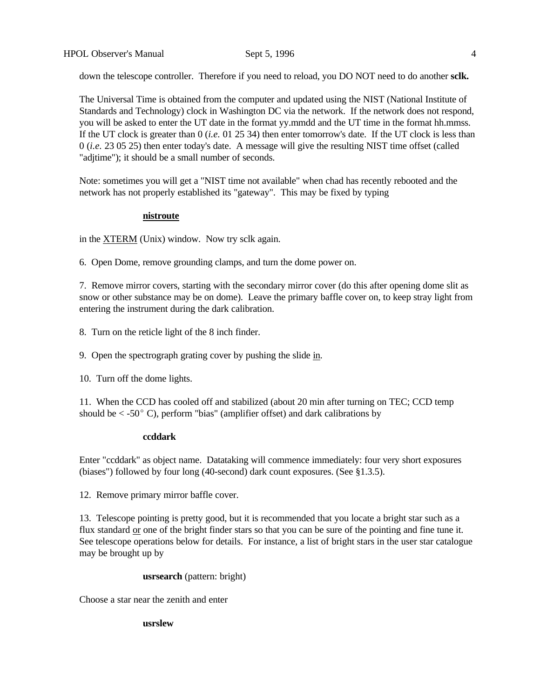down the telescope controller. Therefore if you need to reload, you DO NOT need to do another **sclk.**

The Universal Time is obtained from the computer and updated using the NIST (National Institute of Standards and Technology) clock in Washington DC via the network. If the network does not respond, you will be asked to enter the UT date in the format yy.mmdd and the UT time in the format hh.mmss. If the UT clock is greater than 0 (*i.e.* 01 25 34) then enter tomorrow's date. If the UT clock is less than 0 (*i.e.* 23 05 25) then enter today's date. A message will give the resulting NIST time offset (called "adjtime"); it should be a small number of seconds.

Note: sometimes you will get a "NIST time not available" when chad has recently rebooted and the network has not properly established its "gateway". This may be fixed by typing

#### **nistroute**

in the XTERM (Unix) window. Now try sclk again.

6. Open Dome, remove grounding clamps, and turn the dome power on.

7. Remove mirror covers, starting with the secondary mirror cover (do this after opening dome slit as snow or other substance may be on dome). Leave the primary baffle cover on, to keep stray light from entering the instrument during the dark calibration.

- 8. Turn on the reticle light of the 8 inch finder.
- 9. Open the spectrograph grating cover by pushing the slide in.
- 10. Turn off the dome lights.

11. When the CCD has cooled off and stabilized (about 20 min after turning on TEC; CCD temp should be  $\langle -50^{\circ} \text{ C} \rangle$ , perform "bias" (amplifier offset) and dark calibrations by

#### **ccddark**

Enter "ccddark" as object name. Datataking will commence immediately: four very short exposures (biases") followed by four long (40-second) dark count exposures. (See §1.3.5).

12. Remove primary mirror baffle cover.

13. Telescope pointing is pretty good, but it is recommended that you locate a bright star such as a flux standard or one of the bright finder stars so that you can be sure of the pointing and fine tune it. See telescope operations below for details. For instance, a list of bright stars in the user star catalogue may be brought up by

#### **usrsearch** (pattern: bright)

Choose a star near the zenith and enter

**usrslew**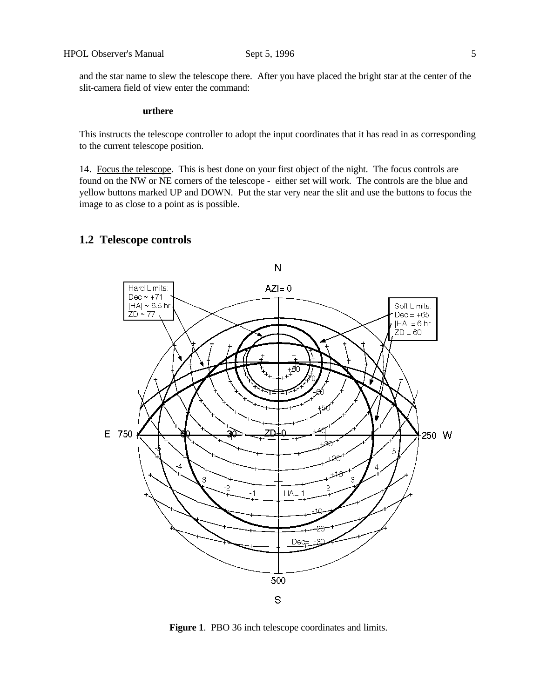and the star name to slew the telescope there. After you have placed the bright star at the center of the slit-camera field of view enter the command:

# **urthere**

This instructs the telescope controller to adopt the input coordinates that it has read in as corresponding to the current telescope position.

14. Focus the telescope. This is best done on your first object of the night. The focus controls are found on the NW or NE corners of the telescope - either set will work. The controls are the blue and yellow buttons marked UP and DOWN. Put the star very near the slit and use the buttons to focus the image to as close to a point as is possible.

# **1.2 Telescope controls**



**Figure 1**. PBO 36 inch telescope coordinates and limits.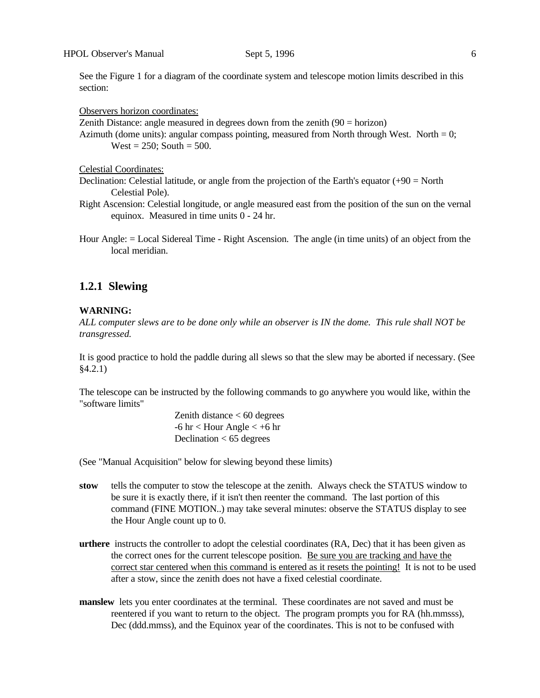See the Figure 1 for a diagram of the coordinate system and telescope motion limits described in this section:

Observers horizon coordinates:

Zenith Distance: angle measured in degrees down from the zenith  $(90 = horizon)$ Azimuth (dome units): angular compass pointing, measured from North through West. North  $= 0$ ; West =  $250$ ; South =  $500$ .

Celestial Coordinates:

Declination: Celestial latitude, or angle from the projection of the Earth's equator  $(+90 =$  North Celestial Pole).

- Right Ascension: Celestial longitude, or angle measured east from the position of the sun on the vernal equinox. Measured in time units 0 - 24 hr.
- Hour Angle: = Local Sidereal Time Right Ascension. The angle (in time units) of an object from the local meridian.

# **1.2.1 Slewing**

## **WARNING:**

*ALL computer slews are to be done only while an observer is IN the dome. This rule shall NOT be transgressed.*

It is good practice to hold the paddle during all slews so that the slew may be aborted if necessary. (See §4.2.1)

The telescope can be instructed by the following commands to go anywhere you would like, within the "software limits"

> Zenith distance < 60 degrees  $-6$  hr  $<$  Hour Angle  $<$   $+6$  hr Declination  $< 65$  degrees

(See "Manual Acquisition" below for slewing beyond these limits)

- **stow** tells the computer to stow the telescope at the zenith. Always check the STATUS window to be sure it is exactly there, if it isn't then reenter the command. The last portion of this command (FINE MOTION..) may take several minutes: observe the STATUS display to see the Hour Angle count up to 0.
- **urthere** instructs the controller to adopt the celestial coordinates (RA, Dec) that it has been given as the correct ones for the current telescope position. Be sure you are tracking and have the correct star centered when this command is entered as it resets the pointing! It is not to be used after a stow, since the zenith does not have a fixed celestial coordinate.
- **manslew** lets you enter coordinates at the terminal. These coordinates are not saved and must be reentered if you want to return to the object. The program prompts you for RA (hh.mmsss), Dec (ddd.mmss), and the Equinox year of the coordinates. This is not to be confused with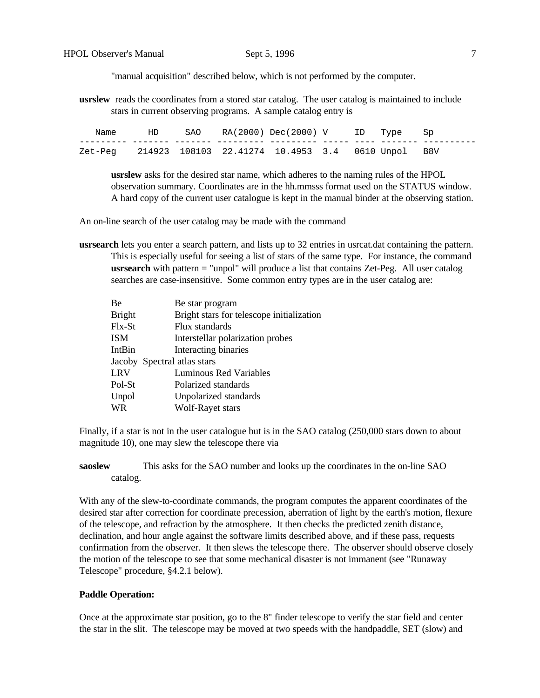"manual acquisition" described below, which is not performed by the computer.

**usrslew** reads the coordinates from a stored star catalog. The user catalog is maintained to include stars in current observing programs. A sample catalog entry is

| Name                                                      | HD | $SAO$ $RA(2000)$ $Dec(2000)$ $V$ $ID$ Type Sp |  |  |  |
|-----------------------------------------------------------|----|-----------------------------------------------|--|--|--|
|                                                           |    |                                               |  |  |  |
| Zet-Peg 214923 108103 22.41274 10.4953 3.4 0610 Unpol B8V |    |                                               |  |  |  |

**usrslew** asks for the desired star name, which adheres to the naming rules of the HPOL observation summary. Coordinates are in the hh.mmsss format used on the STATUS window. A hard copy of the current user catalogue is kept in the manual binder at the observing station.

An on-line search of the user catalog may be made with the command

**usrsearch** lets you enter a search pattern, and lists up to 32 entries in usrcat.dat containing the pattern. This is especially useful for seeing a list of stars of the same type. For instance, the command **usrsearch** with pattern = "unpol" will produce a list that contains Zet-Peg. All user catalog searches are case-insensitive. Some common entry types are in the user catalog are:

| Be            | Be star program                           |
|---------------|-------------------------------------------|
| <b>Bright</b> | Bright stars for telescope initialization |
| $Flx-St$      | Flux standards                            |
| <b>ISM</b>    | Interstellar polarization probes          |
| IntBin        | Interacting binaries                      |
|               | Jacoby Spectral atlas stars               |
| <b>LRV</b>    | <b>Luminous Red Variables</b>             |
| Pol-St        | Polarized standards                       |
| Unpol         | Unpolarized standards                     |
| <b>WR</b>     | <b>Wolf-Rayet stars</b>                   |

Finally, if a star is not in the user catalogue but is in the SAO catalog (250,000 stars down to about magnitude 10), one may slew the telescope there via

**saoslew** This asks for the SAO number and looks up the coordinates in the on-line SAO catalog.

With any of the slew-to-coordinate commands, the program computes the apparent coordinates of the desired star after correction for coordinate precession, aberration of light by the earth's motion, flexure of the telescope, and refraction by the atmosphere. It then checks the predicted zenith distance, declination, and hour angle against the software limits described above, and if these pass, requests confirmation from the observer. It then slews the telescope there. The observer should observe closely the motion of the telescope to see that some mechanical disaster is not immanent (see "Runaway Telescope" procedure, §4.2.1 below).

#### **Paddle Operation:**

Once at the approximate star position, go to the 8" finder telescope to verify the star field and center the star in the slit. The telescope may be moved at two speeds with the handpaddle, SET (slow) and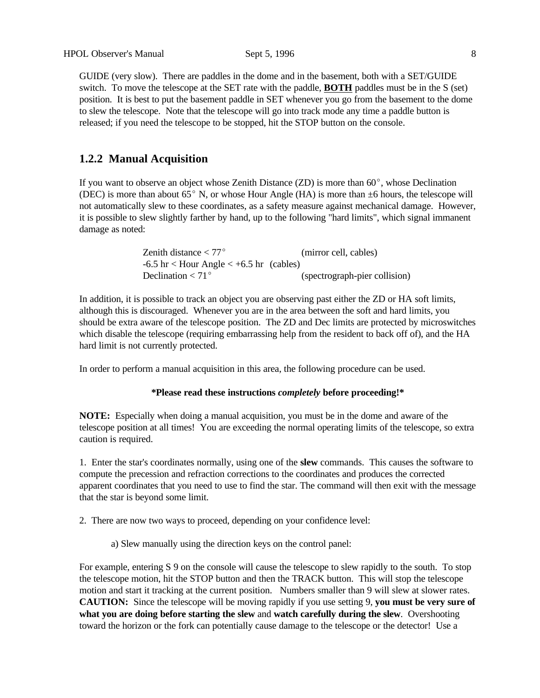GUIDE (very slow). There are paddles in the dome and in the basement, both with a SET/GUIDE switch. To move the telescope at the SET rate with the paddle, **BOTH** paddles must be in the S (set) position. It is best to put the basement paddle in SET whenever you go from the basement to the dome to slew the telescope. Note that the telescope will go into track mode any time a paddle button is released; if you need the telescope to be stopped, hit the STOP button on the console.

# **1.2.2 Manual Acquisition**

If you want to observe an object whose Zenith Distance  $(ZD)$  is more than  $60^{\circ}$ , whose Declination (DEC) is more than about  $65^{\circ}$  N, or whose Hour Angle (HA) is more than  $\pm 6$  hours, the telescope will not automatically slew to these coordinates, as a safety measure against mechanical damage. However, it is possible to slew slightly farther by hand, up to the following "hard limits", which signal immanent damage as noted:

| Zenith distance $< 77^{\circ}$                            | (mirror cell, cables)         |
|-----------------------------------------------------------|-------------------------------|
| $-6.5$ hr $\langle$ Hour Angle $\langle +6.5$ hr (cables) |                               |
| Declination $< 71$ °                                      | (spectrograph-pier collision) |

In addition, it is possible to track an object you are observing past either the ZD or HA soft limits, although this is discouraged. Whenever you are in the area between the soft and hard limits, you should be extra aware of the telescope position. The ZD and Dec limits are protected by microswitches which disable the telescope (requiring embarrassing help from the resident to back off of), and the HA hard limit is not currently protected.

In order to perform a manual acquisition in this area, the following procedure can be used.

## **\*Please read these instructions** *completely* **before proceeding!\***

**NOTE:** Especially when doing a manual acquisition, you must be in the dome and aware of the telescope position at all times! You are exceeding the normal operating limits of the telescope, so extra caution is required.

1. Enter the star's coordinates normally, using one of the **slew** commands. This causes the software to compute the precession and refraction corrections to the coordinates and produces the corrected apparent coordinates that you need to use to find the star. The command will then exit with the message that the star is beyond some limit.

2. There are now two ways to proceed, depending on your confidence level:

a) Slew manually using the direction keys on the control panel:

For example, entering S 9 on the console will cause the telescope to slew rapidly to the south. To stop the telescope motion, hit the STOP button and then the TRACK button. This will stop the telescope motion and start it tracking at the current position. Numbers smaller than 9 will slew at slower rates. **CAUTION:** Since the telescope will be moving rapidly if you use setting 9, **you must be very sure of what you are doing before starting the slew** and **watch carefully during the slew**. Overshooting toward the horizon or the fork can potentially cause damage to the telescope or the detector! Use a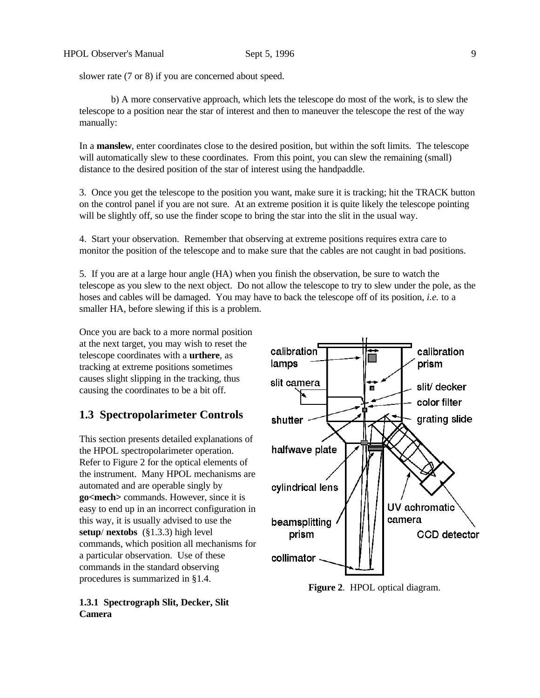slower rate  $(7 \text{ or } 8)$  if you are concerned about speed.

b) A more conservative approach, which lets the telescope do most of the work, is to slew the telescope to a position near the star of interest and then to maneuver the telescope the rest of the way manually:

In a **manslew**, enter coordinates close to the desired position, but within the soft limits. The telescope will automatically slew to these coordinates. From this point, you can slew the remaining (small) distance to the desired position of the star of interest using the handpaddle.

3. Once you get the telescope to the position you want, make sure it is tracking; hit the TRACK button on the control panel if you are not sure. At an extreme position it is quite likely the telescope pointing will be slightly off, so use the finder scope to bring the star into the slit in the usual way.

4. Start your observation. Remember that observing at extreme positions requires extra care to monitor the position of the telescope and to make sure that the cables are not caught in bad positions.

5. If you are at a large hour angle (HA) when you finish the observation, be sure to watch the telescope as you slew to the next object. Do not allow the telescope to try to slew under the pole, as the hoses and cables will be damaged. You may have to back the telescope off of its position, *i.e.* to a smaller HA, before slewing if this is a problem.

Once you are back to a more normal position at the next target, you may wish to reset the telescope coordinates with a **urthere**, as tracking at extreme positions sometimes causes slight slipping in the tracking, thus causing the coordinates to be a bit off.

# **1.3 Spectropolarimeter Controls**

This section presents detailed explanations of the HPOL spectropolarimeter operation. Refer to Figure 2 for the optical elements of the instrument. Many HPOL mechanisms are automated and are operable singly by **go<mech>** commands. However, since it is easy to end up in an incorrect configuration in this way, it is usually advised to use the **setup**/ **nextobs** (§1.3.3) high level commands, which position all mechanisms for a particular observation. Use of these commands in the standard observing procedures is summarized in §1.4.

# **1.3.1 Spectrograph Slit, Decker, Slit Camera**



**Figure 2**. HPOL optical diagram.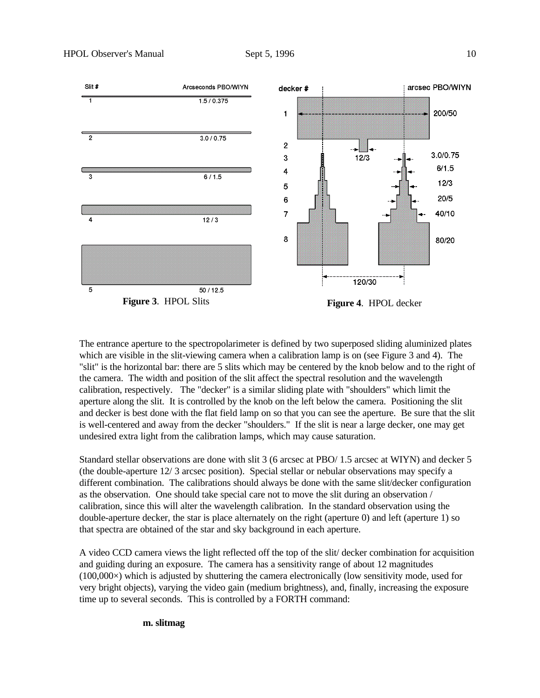

The entrance aperture to the spectropolarimeter is defined by two superposed sliding aluminized plates which are visible in the slit-viewing camera when a calibration lamp is on (see Figure 3 and 4). The "slit" is the horizontal bar: there are 5 slits which may be centered by the knob below and to the right of the camera. The width and position of the slit affect the spectral resolution and the wavelength calibration, respectively. The "decker" is a similar sliding plate with "shoulders" which limit the aperture along the slit. It is controlled by the knob on the left below the camera. Positioning the slit and decker is best done with the flat field lamp on so that you can see the aperture. Be sure that the slit is well-centered and away from the decker "shoulders." If the slit is near a large decker, one may get undesired extra light from the calibration lamps, which may cause saturation.

Standard stellar observations are done with slit 3 (6 arcsec at PBO/ 1.5 arcsec at WIYN) and decker 5 (the double-aperture 12/ 3 arcsec position). Special stellar or nebular observations may specify a different combination. The calibrations should always be done with the same slit/decker configuration as the observation. One should take special care not to move the slit during an observation / calibration, since this will alter the wavelength calibration. In the standard observation using the double-aperture decker, the star is place alternately on the right (aperture 0) and left (aperture 1) so that spectra are obtained of the star and sky background in each aperture.

A video CCD camera views the light reflected off the top of the slit/ decker combination for acquisition and guiding during an exposure. The camera has a sensitivity range of about 12 magnitudes (100,000×) which is adjusted by shuttering the camera electronically (low sensitivity mode, used for very bright objects), varying the video gain (medium brightness), and, finally, increasing the exposure time up to several seconds. This is controlled by a FORTH command:

**m. slitmag**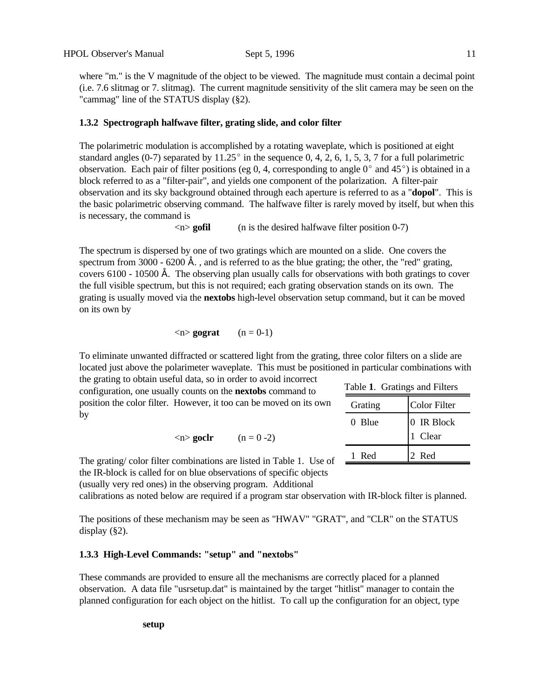where "m." is the V magnitude of the object to be viewed. The magnitude must contain a decimal point (i.e. 7.6 slitmag or 7. slitmag). The current magnitude sensitivity of the slit camera may be seen on the "cammag" line of the STATUS display (§2).

# **1.3.2 Spectrograph halfwave filter, grating slide, and color filter**

The polarimetric modulation is accomplished by a rotating waveplate, which is positioned at eight standard angles (0-7) separated by  $11.25^{\circ}$  in the sequence 0, 4, 2, 6, 1, 5, 3, 7 for a full polarimetric observation. Each pair of filter positions (eg 0, 4, corresponding to angle  $0^{\circ}$  and 45°) is obtained in a block referred to as a "filter-pair", and yields one component of the polarization. A filter-pair observation and its sky background obtained through each aperture is referred to as a "**dopol**". This is the basic polarimetric observing command. The halfwave filter is rarely moved by itself, but when this is necessary, the command is

<n> **gofil** (n is the desired halfwave filter position 0-7)

The spectrum is dispersed by one of two gratings which are mounted on a slide. One covers the spectrum from 3000 - 6200  $\AA$ , and is referred to as the blue grating; the other, the "red" grating, covers 6100 - 10500 Å. The observing plan usually calls for observations with both gratings to cover the full visible spectrum, but this is not required; each grating observation stands on its own. The grating is usually moved via the **nextobs** high-level observation setup command, but it can be moved on its own by

$$
\langle n \rangle \text{ gograf} \qquad (n = 0-1)
$$

To eliminate unwanted diffracted or scattered light from the grating, three color filters on a slide are located just above the polarimeter waveplate. This must be positioned in particular combinations with

the grating to obtain useful data, so in order to avoid incorrect configuration, one usually counts on the **nextobs** command to position the color filter. However, it too can be moved on its own by

 $\langle n \rangle$  **goclr** (n = 0 -2)

| Table 1. Gratings and Filters |                       |  |  |
|-------------------------------|-----------------------|--|--|
| Grating                       | <b>Color Filter</b>   |  |  |
| 0 Blue                        | 0 IR Block<br>1 Clear |  |  |
| 1 Red                         | 2 Red                 |  |  |

The grating/color filter combinations are listed in Table 1. Use of  $\equiv$ the IR-block is called for on blue observations of specific objects

(usually very red ones) in the observing program. Additional

calibrations as noted below are required if a program star observation with IR-block filter is planned.

The positions of these mechanism may be seen as "HWAV" "GRAT", and "CLR" on the STATUS display (§2).

# **1.3.3 High-Level Commands: "setup" and "nextobs"**

These commands are provided to ensure all the mechanisms are correctly placed for a planned observation. A data file "usrsetup.dat" is maintained by the target "hitlist" manager to contain the planned configuration for each object on the hitlist. To call up the configuration for an object, type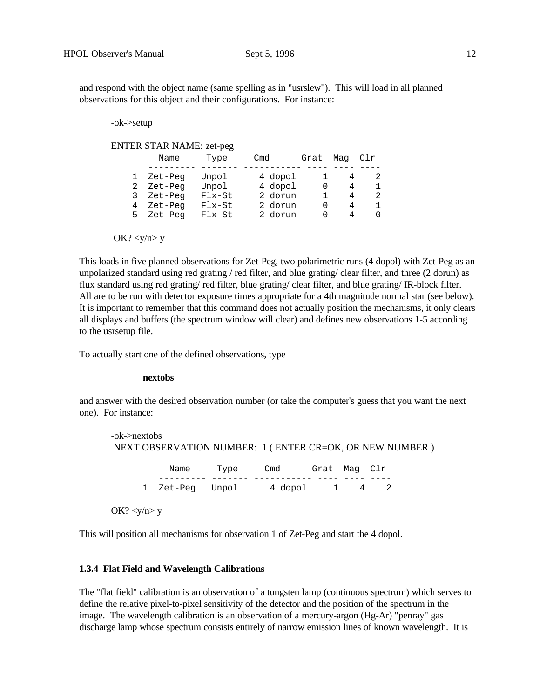and respond with the object name (same spelling as in "usrslew"). This will load in all planned observations for this object and their configurations. For instance:

-ok->setup

ENTER STAR NAME: zet-peg

|             | Name                                     | Type                                   | Cmd                                      | Grat             | Mag         | Clr              |
|-------------|------------------------------------------|----------------------------------------|------------------------------------------|------------------|-------------|------------------|
| 2<br>3<br>4 | Zet-Peg<br>Zet-Peg<br>Zet-Peg<br>Zet-Peg | Unpol<br>Unpol<br>$Flx-St$<br>$Flx-St$ | 4 dopol<br>4 dopol<br>2 dorun<br>2 dorun | $\left( \right)$ | 4<br>4<br>4 | 2<br>1<br>2<br>1 |
| 5           | Zet-Peg                                  | $Flx-St$                               | 2 dorun                                  |                  | Δ           | O                |

OK?  $\langle y/n \rangle y$ 

This loads in five planned observations for Zet-Peg, two polarimetric runs (4 dopol) with Zet-Peg as an unpolarized standard using red grating / red filter, and blue grating/ clear filter, and three (2 dorun) as flux standard using red grating/ red filter, blue grating/ clear filter, and blue grating/ IR-block filter. All are to be run with detector exposure times appropriate for a 4th magnitude normal star (see below). It is important to remember that this command does not actually position the mechanisms, it only clears all displays and buffers (the spectrum window will clear) and defines new observations 1-5 according to the usrsetup file.

To actually start one of the defined observations, type

#### **nextobs**

and answer with the desired observation number (or take the computer's guess that you want the next one). For instance:

| -ok->nextobs |                 |      |                                                         |              |  |
|--------------|-----------------|------|---------------------------------------------------------|--------------|--|
|              |                 |      | NEXT OBSERVATION NUMBER: 1 (ENTER CR=OK, OR NEW NUMBER) |              |  |
|              | Name            | Type | Cmd                                                     | Grat Maq Clr |  |
|              | 1 Zet-Peg Unpol |      | 4 dopol 1 4                                             |              |  |

This will position all mechanisms for observation 1 of Zet-Peg and start the 4 dopol.

# **1.3.4 Flat Field and Wavelength Calibrations**

The "flat field" calibration is an observation of a tungsten lamp (continuous spectrum) which serves to define the relative pixel-to-pixel sensitivity of the detector and the position of the spectrum in the image. The wavelength calibration is an observation of a mercury-argon (Hg-Ar) "penray" gas discharge lamp whose spectrum consists entirely of narrow emission lines of known wavelength. It is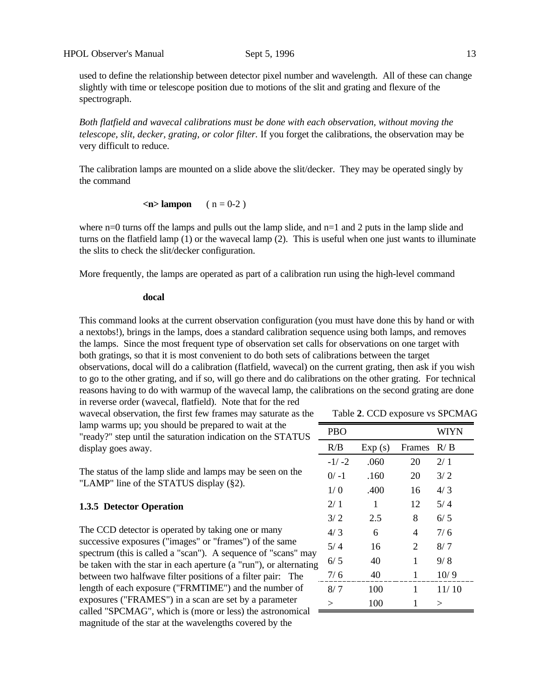used to define the relationship between detector pixel number and wavelength. All of these can change slightly with time or telescope position due to motions of the slit and grating and flexure of the spectrograph.

*Both flatfield and wavecal calibrations must be done with each observation, without moving the telescope, slit, decker, grating, or color filter.* If you forget the calibrations, the observation may be very difficult to reduce.

The calibration lamps are mounted on a slide above the slit/decker. They may be operated singly by the command

 $\leq$ **n**> **lampon** ( n = 0-2 )

where  $n=0$  turns off the lamps and pulls out the lamp slide, and  $n=1$  and 2 puts in the lamp slide and turns on the flatfield lamp (1) or the wavecal lamp (2). This is useful when one just wants to illuminate the slits to check the slit/decker configuration.

More frequently, the lamps are operated as part of a calibration run using the high-level command

#### **docal**

This command looks at the current observation configuration (you must have done this by hand or with a nextobs!), brings in the lamps, does a standard calibration sequence using both lamps, and removes the lamps. Since the most frequent type of observation set calls for observations on one target with both gratings, so that it is most convenient to do both sets of calibrations between the target observations, docal will do a calibration (flatfield, wavecal) on the current grating, then ask if you wish to go to the other grating, and if so, will go there and do calibrations on the other grating. For technical reasons having to do with warmup of the wavecal lamp, the calibrations on the second grating are done in reverse order (wavecal, flatfield). Note that for the red

wavecal observation, the first few frames may saturate as the lamp warms up; you should be prepared to wait at the "ready?" step until the saturation indication on the STATUS display goes away.

The status of the lamp slide and lamps may be seen on the "LAMP" line of the STATUS display (§2).

#### **1.3.5 Detector Operation**

The CCD detector is operated by taking one or many successive exposures ("images" or "frames") of the same spectrum (this is called a "scan"). A sequence of "scans" may be taken with the star in each aperture (a "run"), or alternating between two halfwave filter positions of a filter pair: The length of each exposure ("FRMTIME") and the number of exposures ("FRAMES") in a scan are set by a parameter called "SPCMAG", which is (more or less) the astronomical magnitude of the star at the wavelengths covered by the

Table **2**. CCD exposure vs SPCMAG

|   | <b>PBO</b> |        |        | <b>WIYN</b> |
|---|------------|--------|--------|-------------|
|   | R/B        | Exp(s) | Frames | R/B         |
|   | $-1/-2$    | .060   | 20     | 2/1         |
|   | $0/ -1$    | .160   | 20     | 3/2         |
|   | 1/0        | .400   | 16     | 4/3         |
|   | 2/1        | 1      | 12     | 5/4         |
|   | 3/2        | 2.5    | 8      | 6/5         |
|   | 4/3        | 6      | 4      | 7/6         |
|   | 5/4        | 16     | 2      | 8/7         |
| ξ | 6/5        | 40     | 1      | 9/8         |
|   | 7/6        | 40     | 1      | 10/9        |
|   | 8/7        | 100    | 1      | 11/10       |
|   | $\geq$     | 100    | 1      | $\rm{>}$    |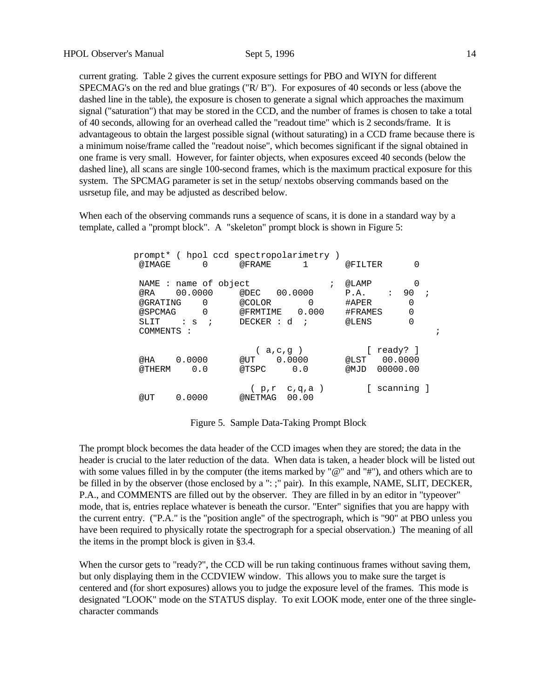current grating. Table 2 gives the current exposure settings for PBO and WIYN for different SPECMAG's on the red and blue gratings ("R/ B"). For exposures of 40 seconds or less (above the dashed line in the table), the exposure is chosen to generate a signal which approaches the maximum signal ("saturation") that may be stored in the CCD, and the number of frames is chosen to take a total of 40 seconds, allowing for an overhead called the "readout time" which is 2 seconds/frame. It is advantageous to obtain the largest possible signal (without saturating) in a CCD frame because there is a minimum noise/frame called the "readout noise", which becomes significant if the signal obtained in one frame is very small. However, for fainter objects, when exposures exceed 40 seconds (below the dashed line), all scans are single 100-second frames, which is the maximum practical exposure for this system. The SPCMAG parameter is set in the setup/ nextobs observing commands based on the usrsetup file, and may be adjusted as described below.

When each of the observing commands runs a sequence of scans, it is done in a standard way by a template, called a "prompt block". A "skeleton" prompt block is shown in Figure 5:

|                            | prompt* ( hpol ccd spectropolarimetry )    |                             |                                     |                                                     |                                 |
|----------------------------|--------------------------------------------|-----------------------------|-------------------------------------|-----------------------------------------------------|---------------------------------|
| @IMAGE                     | 0                                          | @FRAME                      |                                     | @FILTER                                             | 0                               |
| @RA<br>@GRATING<br>@SPCMAG | NAME : name of object<br>00.0000<br>0<br>0 | @DEC<br>@COLOR<br>@FRMTIME  | $\ddot{ }$<br>00.0000<br>0<br>0.000 | @LAMP<br>$\ddot{\cdot}$<br>P.A.<br>#APER<br>#FRAMES | 0<br>90<br>0<br>0               |
| SLIT                       | $\mathbf{S}$ :<br>$\cdot$ ;                | $DECKER$ : d                |                                     | @LENS                                               | 0                               |
| COMMENTS :                 |                                            |                             |                                     |                                                     | i                               |
| @HA<br>@THERM              | 0.0000<br>0.0                              | $a, c, g$ )<br>@UT<br>@TSPC | 0.0000<br>0.0                       | @LST<br>@MJD                                        | ready? ]<br>00.0000<br>00000.00 |
| @UT                        | 0.0000                                     | @NETMAG                     | (p,r c,q,a)<br>00.00                |                                                     | scanning ]                      |

Figure 5. Sample Data-Taking Prompt Block

The prompt block becomes the data header of the CCD images when they are stored; the data in the header is crucial to the later reduction of the data. When data is taken, a header block will be listed out with some values filled in by the computer (the items marked by "@" and "#"), and others which are to be filled in by the observer (those enclosed by a ": ;" pair). In this example, NAME, SLIT, DECKER, P.A., and COMMENTS are filled out by the observer. They are filled in by an editor in "typeover" mode, that is, entries replace whatever is beneath the cursor. "Enter" signifies that you are happy with the current entry. ("P.A." is the "position angle" of the spectrograph, which is "90" at PBO unless you have been required to physically rotate the spectrograph for a special observation.) The meaning of all the items in the prompt block is given in §3.4.

When the cursor gets to "ready?", the CCD will be run taking continuous frames without saving them, but only displaying them in the CCDVIEW window. This allows you to make sure the target is centered and (for short exposures) allows you to judge the exposure level of the frames. This mode is designated "LOOK" mode on the STATUS display. To exit LOOK mode, enter one of the three singlecharacter commands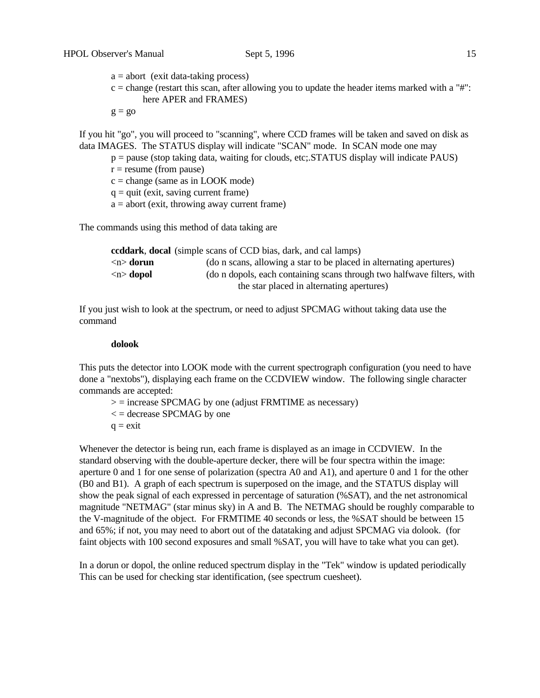$a =$  abort (exit data-taking process)

 $c =$  change (restart this scan, after allowing you to update the header items marked with a "#": here APER and FRAMES)

 $g = go$ 

If you hit "go", you will proceed to "scanning", where CCD frames will be taken and saved on disk as data IMAGES. The STATUS display will indicate "SCAN" mode. In SCAN mode one may

- p = pause (stop taking data, waiting for clouds, etc;.STATUS display will indicate PAUS)
- $r =$  resume (from pause)
- $c = change$  (same as in LOOK mode)
- $q = q$ uit (exit, saving current frame)
- $a =$  abort (exit, throwing away current frame)

The commands using this method of data taking are

|                           | <b>ccddark, docal</b> (simple scans of CCD bias, dark, and cal lamps)  |
|---------------------------|------------------------------------------------------------------------|
| $\langle n \rangle$ dorun | (do n scans, allowing a star to be placed in alternating apertures)    |
| $\langle n \rangle$ dopol | (do n dopols, each containing scans through two halfwave filters, with |
|                           | the star placed in alternating apertures)                              |

If you just wish to look at the spectrum, or need to adjust SPCMAG without taking data use the command

#### **dolook**

This puts the detector into LOOK mode with the current spectrograph configuration (you need to have done a "nextobs"), displaying each frame on the CCDVIEW window. The following single character commands are accepted:

- $\ge$  = increase SPCMAG by one (adjust FRMTIME as necessary)
- $\epsilon$  = decrease SPCMAG by one
- $q = \text{exit}$

Whenever the detector is being run, each frame is displayed as an image in CCDVIEW. In the standard observing with the double-aperture decker, there will be four spectra within the image: aperture 0 and 1 for one sense of polarization (spectra A0 and A1), and aperture 0 and 1 for the other (B0 and B1). A graph of each spectrum is superposed on the image, and the STATUS display will show the peak signal of each expressed in percentage of saturation (%SAT), and the net astronomical magnitude "NETMAG" (star minus sky) in A and B. The NETMAG should be roughly comparable to the V-magnitude of the object. For FRMTIME 40 seconds or less, the %SAT should be between 15 and 65%; if not, you may need to abort out of the datataking and adjust SPCMAG via dolook. (for faint objects with 100 second exposures and small %SAT, you will have to take what you can get).

In a dorun or dopol, the online reduced spectrum display in the "Tek" window is updated periodically This can be used for checking star identification, (see spectrum cuesheet).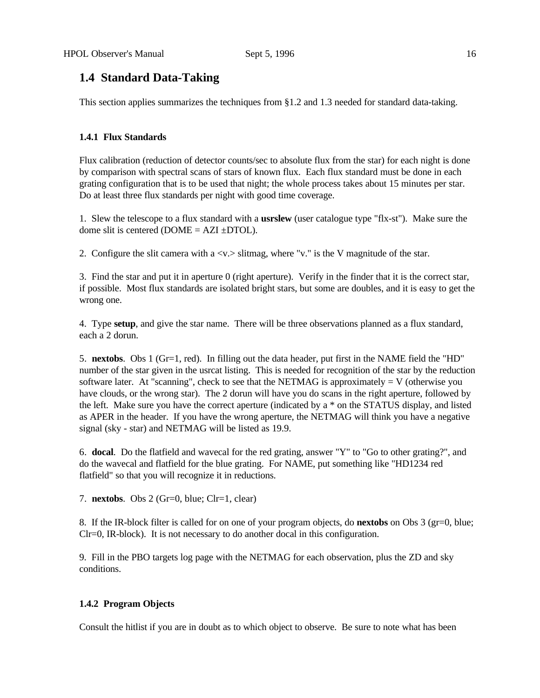# **1.4 Standard Data-Taking**

This section applies summarizes the techniques from §1.2 and 1.3 needed for standard data-taking.

# **1.4.1 Flux Standards**

Flux calibration (reduction of detector counts/sec to absolute flux from the star) for each night is done by comparison with spectral scans of stars of known flux. Each flux standard must be done in each grating configuration that is to be used that night; the whole process takes about 15 minutes per star. Do at least three flux standards per night with good time coverage.

1. Slew the telescope to a flux standard with a **usrslew** (user catalogue type "flx-st"). Make sure the dome slit is centered ( $DOME = AZI \pm DTOL$ ).

2. Configure the slit camera with a  $\langle v \rangle$  slitmag, where "v." is the V magnitude of the star.

3. Find the star and put it in aperture 0 (right aperture). Verify in the finder that it is the correct star, if possible. Most flux standards are isolated bright stars, but some are doubles, and it is easy to get the wrong one.

4. Type **setup**, and give the star name. There will be three observations planned as a flux standard, each a 2 dorun.

5. **nextobs**. Obs 1 (Gr=1, red). In filling out the data header, put first in the NAME field the "HD" number of the star given in the usrcat listing. This is needed for recognition of the star by the reduction software later. At "scanning", check to see that the NETMAG is approximately  $= V$  (otherwise you have clouds, or the wrong star). The 2 dorun will have you do scans in the right aperture, followed by the left. Make sure you have the correct aperture (indicated by a \* on the STATUS display, and listed as APER in the header. If you have the wrong aperture, the NETMAG will think you have a negative signal (sky - star) and NETMAG will be listed as 19.9.

6. **docal**. Do the flatfield and wavecal for the red grating, answer "Y" to "Go to other grating?", and do the wavecal and flatfield for the blue grating. For NAME, put something like "HD1234 red flatfield" so that you will recognize it in reductions.

7. **nextobs**. Obs 2 (Gr=0, blue; Clr=1, clear)

8. If the IR-block filter is called for on one of your program objects, do **nextobs** on Obs 3 (gr=0, blue; Clr=0, IR-block). It is not necessary to do another docal in this configuration.

9. Fill in the PBO targets log page with the NETMAG for each observation, plus the ZD and sky conditions.

#### **1.4.2 Program Objects**

Consult the hitlist if you are in doubt as to which object to observe. Be sure to note what has been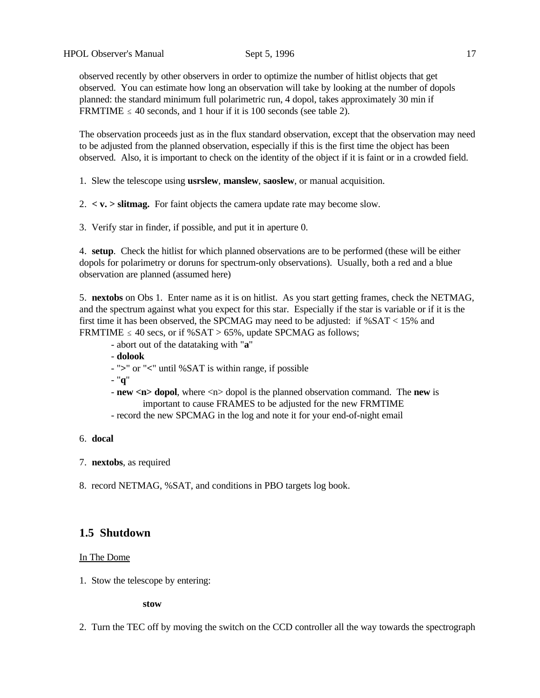observed recently by other observers in order to optimize the number of hitlist objects that get observed. You can estimate how long an observation will take by looking at the number of dopols planned: the standard minimum full polarimetric run, 4 dopol, takes approximately 30 min if FRMTIME  $\leq 40$  seconds, and 1 hour if it is 100 seconds (see table 2).

The observation proceeds just as in the flux standard observation, except that the observation may need to be adjusted from the planned observation, especially if this is the first time the object has been observed. Also, it is important to check on the identity of the object if it is faint or in a crowded field.

1. Slew the telescope using **usrslew**, **manslew**, **saoslew**, or manual acquisition.

 $2. < v. >$  slitting. For faint objects the camera update rate may become slow.

3. Verify star in finder, if possible, and put it in aperture 0.

4. **setup**. Check the hitlist for which planned observations are to be performed (these will be either dopols for polarimetry or doruns for spectrum-only observations). Usually, both a red and a blue observation are planned (assumed here)

5. **nextobs** on Obs 1. Enter name as it is on hitlist. As you start getting frames, check the NETMAG, and the spectrum against what you expect for this star. Especially if the star is variable or if it is the first time it has been observed, the SPCMAG may need to be adjusted: if %SAT < 15% and FRMTIME  $\leq 40$  secs, or if %SAT > 65%, update SPCMAG as follows;

- abort out of the datataking with "**a**"
- **dolook**
- "**>**" or "**<**" until %SAT is within range, if possible

- "**q**"

- **new <n> dopol**, where <n> dopol is the planned observation command. The **new** is important to cause FRAMES to be adjusted for the new FRMTIME
- record the new SPCMAG in the log and note it for your end-of-night email

# 6. **docal**

- 7. **nextobs**, as required
- 8. record NETMAG, %SAT, and conditions in PBO targets log book.

# **1.5 Shutdown**

#### In The Dome

1. Stow the telescope by entering:

**stow**

2. Turn the TEC off by moving the switch on the CCD controller all the way towards the spectrograph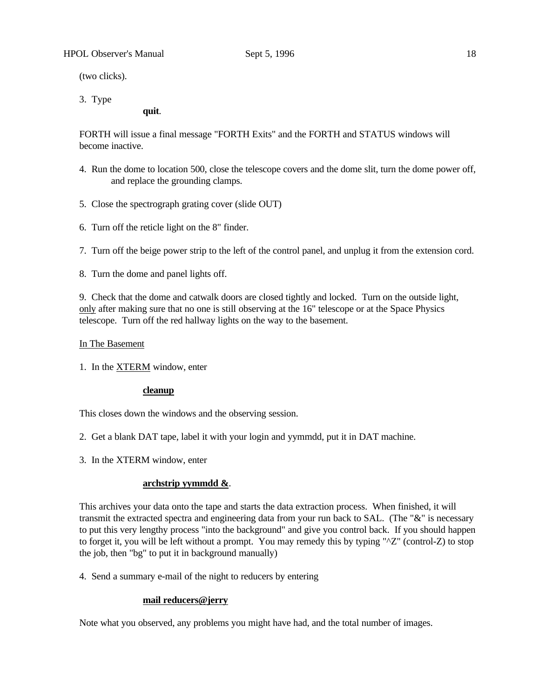(two clicks).

3. Type

**quit**.

FORTH will issue a final message "FORTH Exits" and the FORTH and STATUS windows will become inactive.

- 4. Run the dome to location 500, close the telescope covers and the dome slit, turn the dome power off, and replace the grounding clamps.
- 5. Close the spectrograph grating cover (slide OUT)
- 6. Turn off the reticle light on the 8" finder.
- 7. Turn off the beige power strip to the left of the control panel, and unplug it from the extension cord.
- 8. Turn the dome and panel lights off.

9. Check that the dome and catwalk doors are closed tightly and locked. Turn on the outside light, only after making sure that no one is still observing at the 16" telescope or at the Space Physics telescope. Turn off the red hallway lights on the way to the basement.

# In The Basement

1. In the XTERM window, enter

#### **cleanup**

This closes down the windows and the observing session.

- 2. Get a blank DAT tape, label it with your login and yymmdd, put it in DAT machine.
- 3. In the XTERM window, enter

#### **archstrip yymmdd &**.

This archives your data onto the tape and starts the data extraction process. When finished, it will transmit the extracted spectra and engineering data from your run back to SAL. (The "&" is necessary to put this very lengthy process "into the background" and give you control back. If you should happen to forget it, you will be left without a prompt. You may remedy this by typing "^Z" (control-Z) to stop the job, then "bg" to put it in background manually)

4. Send a summary e-mail of the night to reducers by entering

## **mail reducers@jerry**

Note what you observed, any problems you might have had, and the total number of images.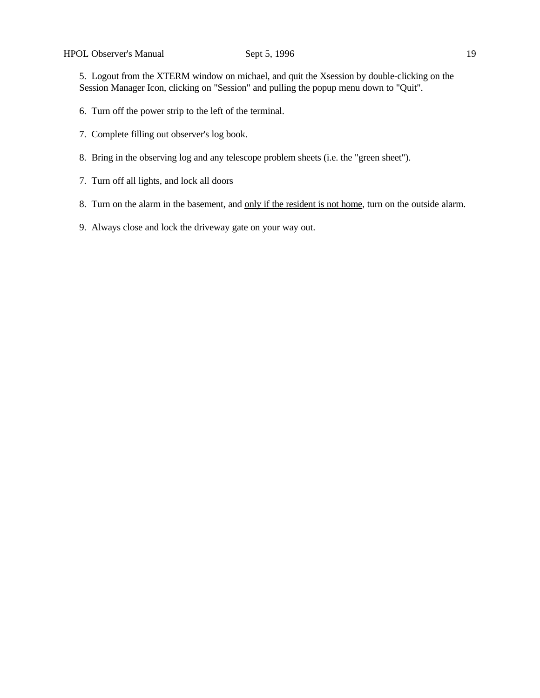5. Logout from the XTERM window on michael, and quit the Xsession by double-clicking on the Session Manager Icon, clicking on "Session" and pulling the popup menu down to "Quit".

- 6. Turn off the power strip to the left of the terminal.
- 7. Complete filling out observer's log book.
- 8. Bring in the observing log and any telescope problem sheets (i.e. the "green sheet").
- 7. Turn off all lights, and lock all doors
- 8. Turn on the alarm in the basement, and only if the resident is not home, turn on the outside alarm.
- 9. Always close and lock the driveway gate on your way out.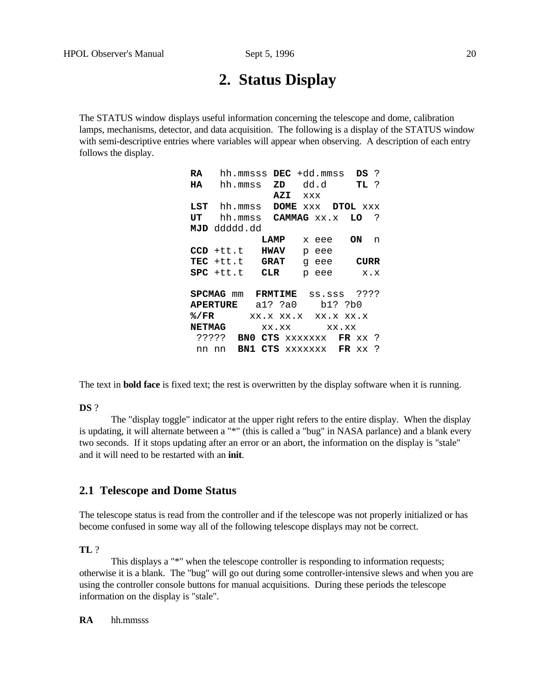# **2. Status Display**

The STATUS window displays useful information concerning the telescope and dome, calibration lamps, mechanisms, detector, and data acquisition. The following is a display of the STATUS window with semi-descriptive entries where variables will appear when observing. A description of each entry follows the display.

| RA                       | hh.mmsss          |             |     |            | $DEC +dd.mmss$             | DS ?        |              |
|--------------------------|-------------------|-------------|-----|------------|----------------------------|-------------|--------------|
| HA                       | hh.mmss           |             | ZD  | dd.d TL?   |                            |             |              |
|                          |                   |             | AZI | <b>XXX</b> |                            |             |              |
|                          | $LST$ hh. $mmss$  |             |     |            | DOME XXX DTOL XXX          |             |              |
| UT                       |                   |             |     |            | hh.mmss <b>CAMMAG</b> xx.x | LO          | $\mathbf{P}$ |
|                          | MJD ddddd.dd      |             |     |            |                            |             |              |
|                          |                   | <b>LAMP</b> |     |            | x eee                      | ON          | n            |
|                          | $CCD$ +tt.t       | <b>HWAV</b> |     |            | p eee                      |             |              |
|                          | TEC +tt.t GRAT    |             |     |            | q eee                      | <b>CURR</b> |              |
|                          | $SPC$ +tt.t $CLR$ |             |     |            | p eee                      |             | x.x          |
|                          |                   |             |     |            |                            |             |              |
|                          | <b>SPCMAG</b> mm  | FRMTIME     |     |            | SS.SSS ????                |             |              |
| APERTURE al? ?a0 b1? ?b0 |                   |             |     |            |                            |             |              |
| 8/FR                     |                   |             |     |            | XX.X XX.X XX.X XX.X        |             |              |
|                          | <b>NETMAG</b>     |             |     |            | XX.XX XX.XX                |             |              |
|                          | ?????<br>BN 0     |             |     |            | CTS XXXXXXX FR XX?         |             |              |
| nn nn                    |                   |             |     |            | BN1 CTS XXXXXXX FR XX      |             | -?           |

The text in **bold face** is fixed text; the rest is overwritten by the display software when it is running.

#### **DS** ?

The "display toggle" indicator at the upper right refers to the entire display. When the display is updating, it will alternate between a "\*" (this is called a "bug" in NASA parlance) and a blank every two seconds. If it stops updating after an error or an abort, the information on the display is "stale" and it will need to be restarted with an **init**.

# **2.1 Telescope and Dome Status**

The telescope status is read from the controller and if the telescope was not properly initialized or has become confused in some way all of the following telescope displays may not be correct.

**TL** ?

This displays a "\*" when the telescope controller is responding to information requests; otherwise it is a blank. The "bug" will go out during some controller-intensive slews and when you are using the controller console buttons for manual acquisitions. During these periods the telescope information on the display is "stale".

**RA** hh.mmsss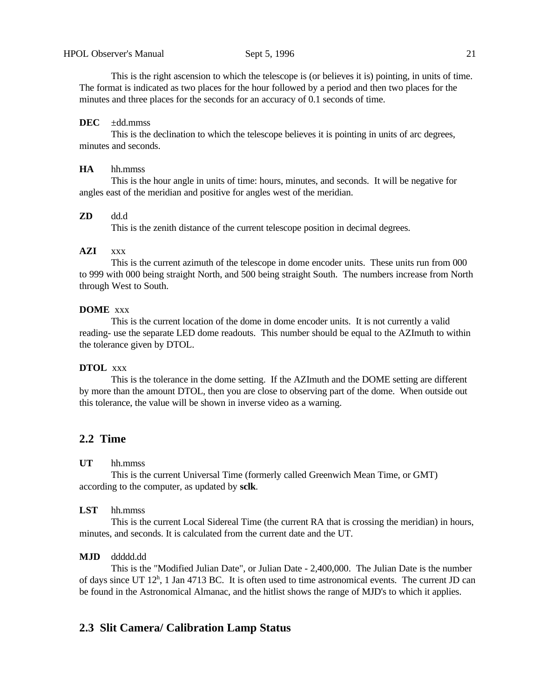This is the right ascension to which the telescope is (or believes it is) pointing, in units of time. The format is indicated as two places for the hour followed by a period and then two places for the minutes and three places for the seconds for an accuracy of 0.1 seconds of time.

## **DEC** ±dd.mmss

This is the declination to which the telescope believes it is pointing in units of arc degrees, minutes and seconds.

#### **HA** hh.mmss

This is the hour angle in units of time: hours, minutes, and seconds. It will be negative for angles east of the meridian and positive for angles west of the meridian.

#### **ZD** dd.d

This is the zenith distance of the current telescope position in decimal degrees.

# **AZI** xxx

This is the current azimuth of the telescope in dome encoder units. These units run from 000 to 999 with 000 being straight North, and 500 being straight South. The numbers increase from North through West to South.

#### **DOME** xxx

This is the current location of the dome in dome encoder units. It is not currently a valid reading- use the separate LED dome readouts. This number should be equal to the AZImuth to within the tolerance given by DTOL.

### **DTOL** xxx

This is the tolerance in the dome setting. If the AZImuth and the DOME setting are different by more than the amount DTOL, then you are close to observing part of the dome. When outside out this tolerance, the value will be shown in inverse video as a warning.

# **2.2 Time**

#### **UT** hh.mmss

This is the current Universal Time (formerly called Greenwich Mean Time, or GMT) according to the computer, as updated by **sclk**.

#### **LST** hh.mmss

This is the current Local Sidereal Time (the current RA that is crossing the meridian) in hours, minutes, and seconds. It is calculated from the current date and the UT.

#### **MJD** ddddd.dd

This is the "Modified Julian Date", or Julian Date - 2,400,000. The Julian Date is the number of days since UT 12<sup>h</sup>, 1 Jan 4713 BC. It is often used to time astronomical events. The current JD can be found in the Astronomical Almanac, and the hitlist shows the range of MJD's to which it applies.

# **2.3 Slit Camera/ Calibration Lamp Status**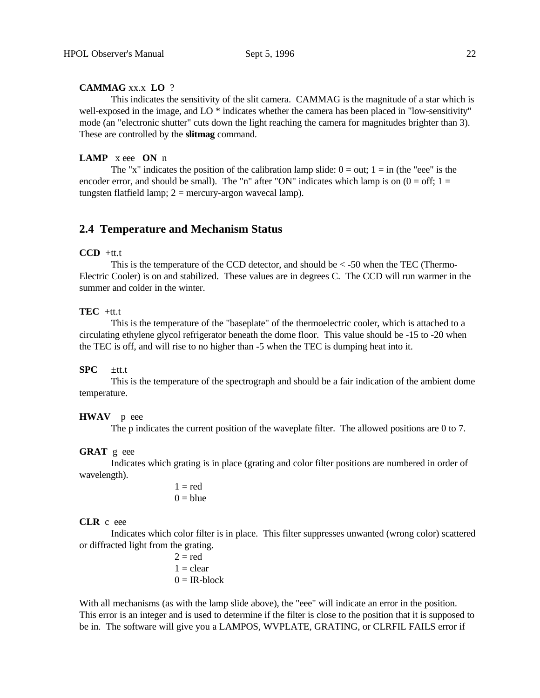# **CAMMAG** xx.x **LO** ?

This indicates the sensitivity of the slit camera. CAMMAG is the magnitude of a star which is well-exposed in the image, and LO  $*$  indicates whether the camera has been placed in "low-sensitivity" mode (an "electronic shutter" cuts down the light reaching the camera for magnitudes brighter than 3). These are controlled by the **slitmag** command.

#### **LAMP** x eee **ON** n

The "x" indicates the position of the calibration lamp slide:  $0 = \text{out}$ ;  $1 = \text{in}$  (the "eee" is the encoder error, and should be small). The "n" after "ON" indicates which lamp is on  $(0 = off; 1 =$ tungsten flatfield lamp;  $2 =$  mercury-argon wavecal lamp).

# **2.4 Temperature and Mechanism Status**

## **CCD** +tt.t

This is the temperature of the CCD detector, and should be  $\lt$  -50 when the TEC (Thermo-Electric Cooler) is on and stabilized. These values are in degrees C. The CCD will run warmer in the summer and colder in the winter.

# **TEC** +tt.t

This is the temperature of the "baseplate" of the thermoelectric cooler, which is attached to a circulating ethylene glycol refrigerator beneath the dome floor. This value should be -15 to -20 when the TEC is off, and will rise to no higher than -5 when the TEC is dumping heat into it.

#### **SPC** ±tt.t

This is the temperature of the spectrograph and should be a fair indication of the ambient dome temperature.

#### **HWAV** p eee

The p indicates the current position of the waveplate filter. The allowed positions are 0 to 7.

#### **GRAT** g eee

Indicates which grating is in place (grating and color filter positions are numbered in order of wavelength).

> $1 = red$  $0 =$ blue

## **CLR** c eee

Indicates which color filter is in place. This filter suppresses unwanted (wrong color) scattered or diffracted light from the grating.

> $2 = red$  $1 =$  clear  $0 = IR$ -block

With all mechanisms (as with the lamp slide above), the "eee" will indicate an error in the position. This error is an integer and is used to determine if the filter is close to the position that it is supposed to be in. The software will give you a LAMPOS, WVPLATE, GRATING, or CLRFIL FAILS error if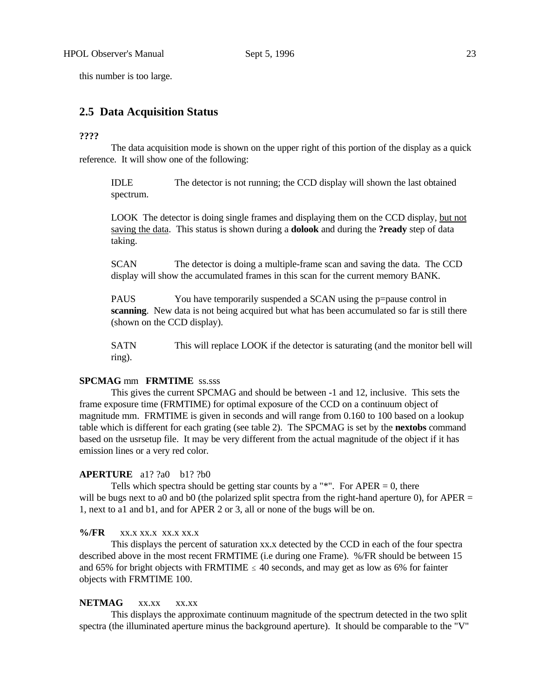this number is too large.

# **2.5 Data Acquisition Status**

#### **????**

The data acquisition mode is shown on the upper right of this portion of the display as a quick reference. It will show one of the following:

IDLE The detector is not running; the CCD display will shown the last obtained spectrum.

LOOK The detector is doing single frames and displaying them on the CCD display, but not saving the data. This status is shown during a **dolook** and during the **?ready** step of data taking.

SCAN The detector is doing a multiple-frame scan and saving the data. The CCD display will show the accumulated frames in this scan for the current memory BANK.

PAUS You have temporarily suspended a SCAN using the p=pause control in **scanning**. New data is not being acquired but what has been accumulated so far is still there (shown on the CCD display).

SATN This will replace LOOK if the detector is saturating (and the monitor bell will ring).

## **SPCMAG** mm **FRMTIME** ss.sss

This gives the current SPCMAG and should be between -1 and 12, inclusive. This sets the frame exposure time (FRMTIME) for optimal exposure of the CCD on a continuum object of magnitude mm. FRMTIME is given in seconds and will range from 0.160 to 100 based on a lookup table which is different for each grating (see table 2). The SPCMAG is set by the **nextobs** command based on the usrsetup file. It may be very different from the actual magnitude of the object if it has emission lines or a very red color.

#### **APERTURE** a1? ?a0 b1? ?b0

Tells which spectra should be getting star counts by a " $*$ ". For APER = 0, there will be bugs next to a0 and b0 (the polarized split spectra from the right-hand aperture 0), for APER  $=$ 1, next to a1 and b1, and for APER 2 or 3, all or none of the bugs will be on.

## **%/FR** xx.x xx.x xx.x xx.x

This displays the percent of saturation xx.x detected by the CCD in each of the four spectra described above in the most recent FRMTIME (i.e during one Frame). %/FR should be between 15 and 65% for bright objects with FRMTIME  $\leq$  40 seconds, and may get as low as 6% for fainter objects with FRMTIME 100.

#### **NETMAG** xx.xx xx.xx

This displays the approximate continuum magnitude of the spectrum detected in the two split spectra (the illuminated aperture minus the background aperture). It should be comparable to the "V"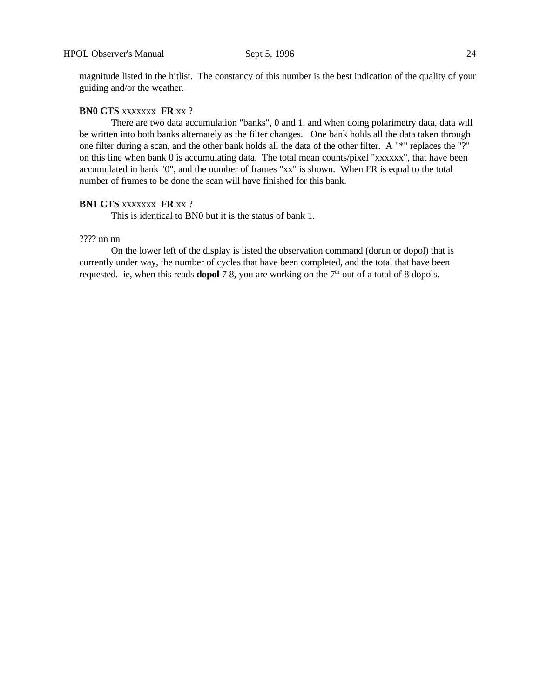magnitude listed in the hitlist. The constancy of this number is the best indication of the quality of your guiding and/or the weather.

## **BN0 CTS** xxxxxxx **FR** xx ?

There are two data accumulation "banks", 0 and 1, and when doing polarimetry data, data will be written into both banks alternately as the filter changes. One bank holds all the data taken through one filter during a scan, and the other bank holds all the data of the other filter. A "\*" replaces the "?" on this line when bank 0 is accumulating data. The total mean counts/pixel "xxxxxx", that have been accumulated in bank "0", and the number of frames "xx" is shown. When FR is equal to the total number of frames to be done the scan will have finished for this bank.

# **BN1 CTS** xxxxxxx **FR** xx ?

This is identical to BN0 but it is the status of bank 1.

## ???? nn nn

On the lower left of the display is listed the observation command (dorun or dopol) that is currently under way, the number of cycles that have been completed, and the total that have been requested. ie, when this reads **dopol** 7 8, you are working on the  $7<sup>th</sup>$  out of a total of 8 dopols.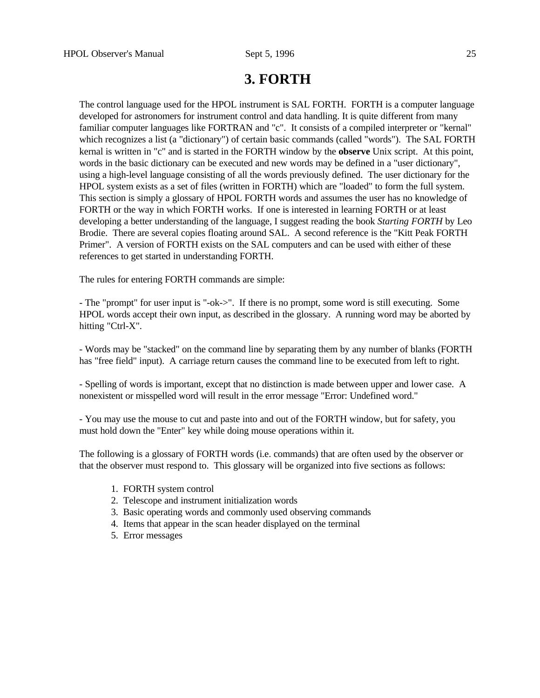# **3. FORTH**

The control language used for the HPOL instrument is SAL FORTH. FORTH is a computer language developed for astronomers for instrument control and data handling. It is quite different from many familiar computer languages like FORTRAN and "c". It consists of a compiled interpreter or "kernal" which recognizes a list (a "dictionary") of certain basic commands (called "words"). The SAL FORTH kernal is written in "c" and is started in the FORTH window by the **observe** Unix script. At this point, words in the basic dictionary can be executed and new words may be defined in a "user dictionary", using a high-level language consisting of all the words previously defined. The user dictionary for the HPOL system exists as a set of files (written in FORTH) which are "loaded" to form the full system. This section is simply a glossary of HPOL FORTH words and assumes the user has no knowledge of FORTH or the way in which FORTH works. If one is interested in learning FORTH or at least developing a better understanding of the language, I suggest reading the book *Starting FORTH* by Leo Brodie. There are several copies floating around SAL. A second reference is the "Kitt Peak FORTH Primer". A version of FORTH exists on the SAL computers and can be used with either of these references to get started in understanding FORTH.

The rules for entering FORTH commands are simple:

- The "prompt" for user input is "-ok->". If there is no prompt, some word is still executing. Some HPOL words accept their own input, as described in the glossary. A running word may be aborted by hitting "Ctrl-X".

- Words may be "stacked" on the command line by separating them by any number of blanks (FORTH has "free field" input). A carriage return causes the command line to be executed from left to right.

- Spelling of words is important, except that no distinction is made between upper and lower case. A nonexistent or misspelled word will result in the error message "Error: Undefined word."

- You may use the mouse to cut and paste into and out of the FORTH window, but for safety, you must hold down the "Enter" key while doing mouse operations within it.

The following is a glossary of FORTH words (i.e. commands) that are often used by the observer or that the observer must respond to. This glossary will be organized into five sections as follows:

- 1. FORTH system control
- 2. Telescope and instrument initialization words
- 3. Basic operating words and commonly used observing commands
- 4. Items that appear in the scan header displayed on the terminal
- 5. Error messages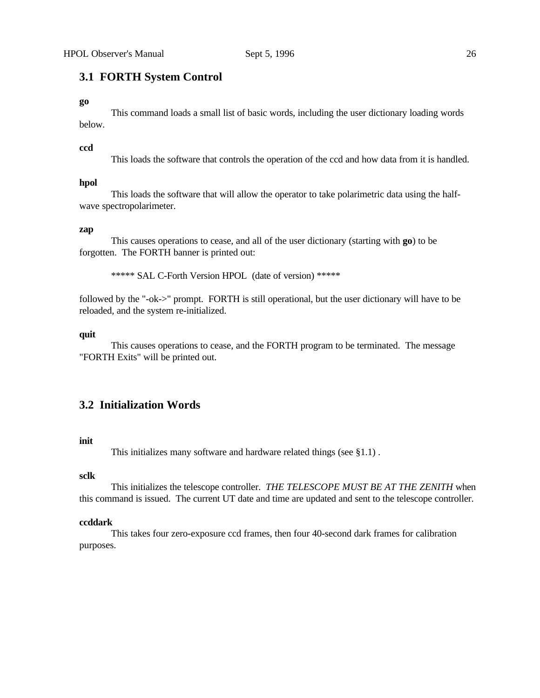# **3.1 FORTH System Control**

#### **go**

This command loads a small list of basic words, including the user dictionary loading words below.

#### **ccd**

This loads the software that controls the operation of the ccd and how data from it is handled.

#### **hpol**

This loads the software that will allow the operator to take polarimetric data using the halfwave spectropolarimeter.

#### **zap**

This causes operations to cease, and all of the user dictionary (starting with **go**) to be forgotten. The FORTH banner is printed out:

\*\*\*\*\* SAL C-Forth Version HPOL (date of version) \*\*\*\*\*

followed by the "-ok->" prompt. FORTH is still operational, but the user dictionary will have to be reloaded, and the system re-initialized.

#### **quit**

This causes operations to cease, and the FORTH program to be terminated. The message "FORTH Exits" will be printed out.

# **3.2 Initialization Words**

#### **init**

This initializes many software and hardware related things (see §1.1) .

## **sclk**

This initializes the telescope controller. *THE TELESCOPE MUST BE AT THE ZENITH* when this command is issued. The current UT date and time are updated and sent to the telescope controller.

#### **ccddark**

This takes four zero-exposure ccd frames, then four 40-second dark frames for calibration purposes.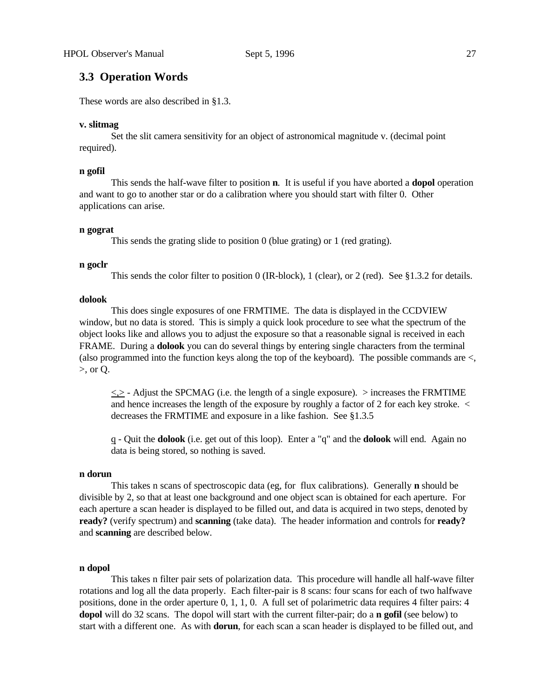# **3.3 Operation Words**

These words are also described in §1.3.

#### **v. slitmag**

Set the slit camera sensitivity for an object of astronomical magnitude v. (decimal point required).

#### **n gofil**

This sends the half-wave filter to position **n**. It is useful if you have aborted a **dopol** operation and want to go to another star or do a calibration where you should start with filter 0. Other applications can arise.

#### **n gograt**

This sends the grating slide to position 0 (blue grating) or 1 (red grating).

#### **n goclr**

This sends the color filter to position 0 (IR-block), 1 (clear), or 2 (red). See §1.3.2 for details.

#### **dolook**

This does single exposures of one FRMTIME. The data is displayed in the CCDVIEW window, but no data is stored. This is simply a quick look procedure to see what the spectrum of the object looks like and allows you to adjust the exposure so that a reasonable signal is received in each FRAME. During a **dolook** you can do several things by entering single characters from the terminal (also programmed into the function keys along the top of the keyboard). The possible commands are <, >, or Q.

 $\langle \rangle$  - Adjust the SPCMAG (i.e. the length of a single exposure).  $>$  increases the FRMTIME and hence increases the length of the exposure by roughly a factor of 2 for each key stroke. < decreases the FRMTIME and exposure in a like fashion. See §1.3.5

q - Quit the **dolook** (i.e. get out of this loop). Enter a "q" and the **dolook** will end. Again no data is being stored, so nothing is saved.

#### **n dorun**

This takes n scans of spectroscopic data (eg, for flux calibrations). Generally **n** should be divisible by 2, so that at least one background and one object scan is obtained for each aperture. For each aperture a scan header is displayed to be filled out, and data is acquired in two steps, denoted by **ready?** (verify spectrum) and **scanning** (take data). The header information and controls for **ready?** and **scanning** are described below.

#### **n dopol**

This takes n filter pair sets of polarization data. This procedure will handle all half-wave filter rotations and log all the data properly. Each filter-pair is 8 scans: four scans for each of two halfwave positions, done in the order aperture 0, 1, 1, 0. A full set of polarimetric data requires 4 filter pairs: 4 **dopol** will do 32 scans. The dopol will start with the current filter-pair; do a **n gofil** (see below) to start with a different one. As with **dorun**, for each scan a scan header is displayed to be filled out, and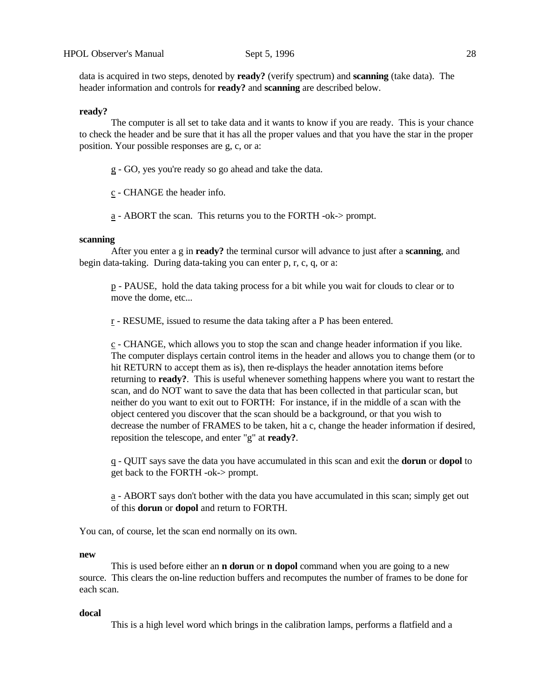data is acquired in two steps, denoted by **ready?** (verify spectrum) and **scanning** (take data). The header information and controls for **ready?** and **scanning** are described below.

#### **ready?**

The computer is all set to take data and it wants to know if you are ready. This is your chance to check the header and be sure that it has all the proper values and that you have the star in the proper position. Your possible responses are g, c, or a:

g - GO, yes you're ready so go ahead and take the data.

c - CHANGE the header info.

a - ABORT the scan. This returns you to the FORTH -ok-> prompt.

#### **scanning**

After you enter a g in **ready?** the terminal cursor will advance to just after a **scanning**, and begin data-taking. During data-taking you can enter p, r, c, q, or a:

p - PAUSE, hold the data taking process for a bit while you wait for clouds to clear or to move the dome, etc...

r - RESUME, issued to resume the data taking after a P has been entered.

c - CHANGE, which allows you to stop the scan and change header information if you like. The computer displays certain control items in the header and allows you to change them (or to hit RETURN to accept them as is), then re-displays the header annotation items before returning to **ready?**. This is useful whenever something happens where you want to restart the scan, and do NOT want to save the data that has been collected in that particular scan, but neither do you want to exit out to FORTH: For instance, if in the middle of a scan with the object centered you discover that the scan should be a background, or that you wish to decrease the number of FRAMES to be taken, hit a c, change the header information if desired, reposition the telescope, and enter "g" at **ready?**.

q - QUIT says save the data you have accumulated in this scan and exit the **dorun** or **dopol** to get back to the FORTH -ok-> prompt.

a - ABORT says don't bother with the data you have accumulated in this scan; simply get out of this **dorun** or **dopol** and return to FORTH.

You can, of course, let the scan end normally on its own.

#### **new**

This is used before either an **n dorun** or **n dopol** command when you are going to a new source. This clears the on-line reduction buffers and recomputes the number of frames to be done for each scan.

#### **docal**

This is a high level word which brings in the calibration lamps, performs a flatfield and a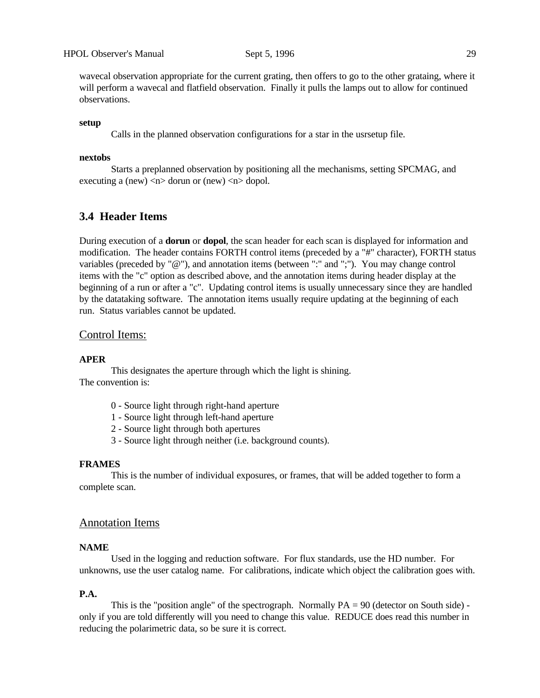wavecal observation appropriate for the current grating, then offers to go to the other grataing, where it will perform a wavecal and flatfield observation. Finally it pulls the lamps out to allow for continued observations.

#### **setup**

Calls in the planned observation configurations for a star in the usrsetup file.

## **nextobs**

Starts a preplanned observation by positioning all the mechanisms, setting SPCMAG, and executing a (new)  $\langle n \rangle$  dorun or (new)  $\langle n \rangle$  dopol.

# **3.4 Header Items**

During execution of a **dorun** or **dopol**, the scan header for each scan is displayed for information and modification. The header contains FORTH control items (preceded by a "#" character), FORTH status variables (preceded by "@"), and annotation items (between ":" and ";"). You may change control items with the "c" option as described above, and the annotation items during header display at the beginning of a run or after a "c". Updating control items is usually unnecessary since they are handled by the datataking software. The annotation items usually require updating at the beginning of each run. Status variables cannot be updated.

## Control Items:

#### **APER**

This designates the aperture through which the light is shining. The convention is:

- 0 Source light through right-hand aperture
- 1 Source light through left-hand aperture
- 2 Source light through both apertures
- 3 Source light through neither (i.e. background counts).

#### **FRAMES**

This is the number of individual exposures, or frames, that will be added together to form a complete scan.

# Annotation Items

## **NAME**

Used in the logging and reduction software. For flux standards, use the HD number. For unknowns, use the user catalog name. For calibrations, indicate which object the calibration goes with.

#### **P.A.**

This is the "position angle" of the spectrograph. Normally  $PA = 90$  (detector on South side) only if you are told differently will you need to change this value. REDUCE does read this number in reducing the polarimetric data, so be sure it is correct.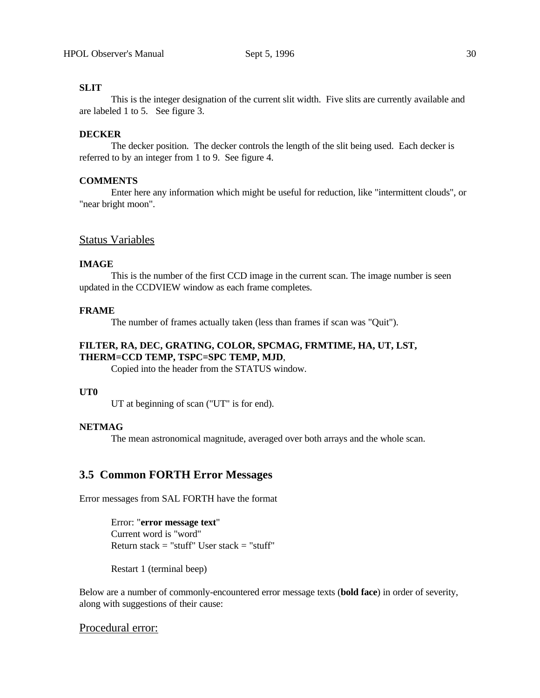# **SLIT**

This is the integer designation of the current slit width. Five slits are currently available and are labeled 1 to 5. See figure 3.

## **DECKER**

The decker position. The decker controls the length of the slit being used. Each decker is referred to by an integer from 1 to 9. See figure 4.

## **COMMENTS**

Enter here any information which might be useful for reduction, like "intermittent clouds", or "near bright moon".

# Status Variables

### **IMAGE**

This is the number of the first CCD image in the current scan. The image number is seen updated in the CCDVIEW window as each frame completes.

## **FRAME**

The number of frames actually taken (less than frames if scan was "Quit").

# **FILTER, RA, DEC, GRATING, COLOR, SPCMAG, FRMTIME, HA, UT, LST, THERM=CCD TEMP, TSPC=SPC TEMP, MJD**,

Copied into the header from the STATUS window.

## **UT0**

UT at beginning of scan ("UT" is for end).

# **NETMAG**

The mean astronomical magnitude, averaged over both arrays and the whole scan.

# **3.5 Common FORTH Error Messages**

Error messages from SAL FORTH have the format

Error: "**error message text**" Current word is "word" Return stack  $=$  "stuff" User stack  $=$  "stuff"

Restart 1 (terminal beep)

Below are a number of commonly-encountered error message texts (**bold face**) in order of severity, along with suggestions of their cause:

# Procedural error: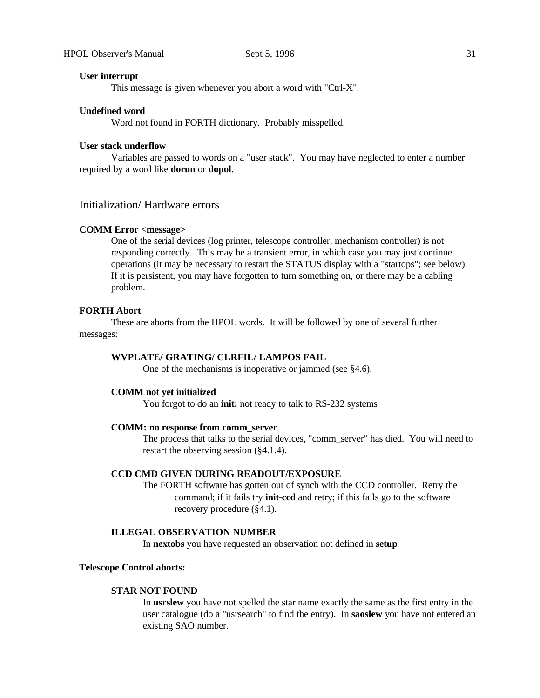#### **User interrupt**

This message is given whenever you abort a word with "Ctrl-X".

#### **Undefined word**

Word not found in FORTH dictionary. Probably misspelled.

#### **User stack underflow**

Variables are passed to words on a "user stack". You may have neglected to enter a number required by a word like **dorun** or **dopol**.

# Initialization/ Hardware errors

#### **COMM Error <message>**

One of the serial devices (log printer, telescope controller, mechanism controller) is not responding correctly. This may be a transient error, in which case you may just continue operations (it may be necessary to restart the STATUS display with a "startops"; see below). If it is persistent, you may have forgotten to turn something on, or there may be a cabling problem.

## **FORTH Abort**

These are aborts from the HPOL words. It will be followed by one of several further messages:

### **WVPLATE/ GRATING/ CLRFIL/ LAMPOS FAIL**

One of the mechanisms is inoperative or jammed (see §4.6).

## **COMM not yet initialized**

You forgot to do an **init:** not ready to talk to RS-232 systems

#### **COMM: no response from comm\_server**

The process that talks to the serial devices, "comm\_server" has died. You will need to restart the observing session (§4.1.4).

#### **CCD CMD GIVEN DURING READOUT/EXPOSURE**

The FORTH software has gotten out of synch with the CCD controller. Retry the command; if it fails try **init-ccd** and retry; if this fails go to the software recovery procedure (§4.1).

#### **ILLEGAL OBSERVATION NUMBER**

In **nextobs** you have requested an observation not defined in **setup**

#### **Telescope Control aborts:**

#### **STAR NOT FOUND**

In **usrslew** you have not spelled the star name exactly the same as the first entry in the user catalogue (do a "usrsearch" to find the entry). In **saoslew** you have not entered an existing SAO number.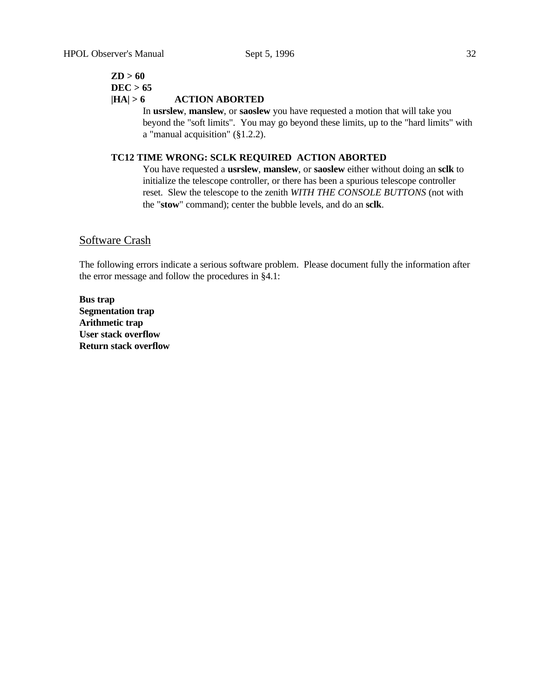# **ZD > 60 DEC > 65**

# **|HA| > 6 ACTION ABORTED**

In **usrslew**, **manslew**, or **saoslew** you have requested a motion that will take you beyond the "soft limits". You may go beyond these limits, up to the "hard limits" with a "manual acquisition" (§1.2.2).

# **TC12 TIME WRONG: SCLK REQUIRED ACTION ABORTED**

You have requested a **usrslew**, **manslew**, or **saoslew** either without doing an **sclk** to initialize the telescope controller, or there has been a spurious telescope controller reset. Slew the telescope to the zenith *WITH THE CONSOLE BUTTONS* (not with the "**stow**" command); center the bubble levels, and do an **sclk**.

# Software Crash

The following errors indicate a serious software problem. Please document fully the information after the error message and follow the procedures in §4.1:

**Bus trap Segmentation trap Arithmetic trap User stack overflow Return stack overflow**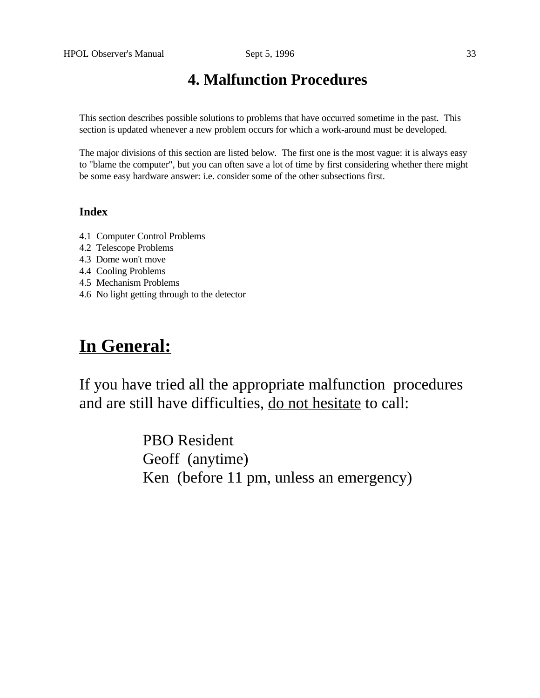# **4. Malfunction Procedures**

This section describes possible solutions to problems that have occurred sometime in the past. This section is updated whenever a new problem occurs for which a work-around must be developed.

The major divisions of this section are listed below. The first one is the most vague: it is always easy to "blame the computer", but you can often save a lot of time by first considering whether there might be some easy hardware answer: i.e. consider some of the other subsections first.

# **Index**

- 4.1 Computer Control Problems
- 4.2 Telescope Problems
- 4.3 Dome won't move
- 4.4 Cooling Problems
- 4.5 Mechanism Problems
- 4.6 No light getting through to the detector

# **In General:**

If you have tried all the appropriate malfunction procedures and are still have difficulties, do not hesitate to call:

> PBO Resident Geoff (anytime) Ken (before 11 pm, unless an emergency)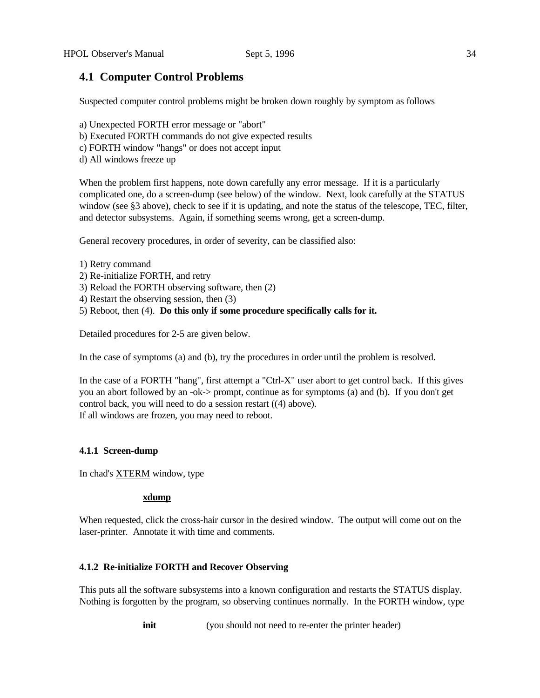# **4.1 Computer Control Problems**

Suspected computer control problems might be broken down roughly by symptom as follows

- a) Unexpected FORTH error message or "abort"
- b) Executed FORTH commands do not give expected results
- c) FORTH window "hangs" or does not accept input
- d) All windows freeze up

When the problem first happens, note down carefully any error message. If it is a particularly complicated one, do a screen-dump (see below) of the window. Next, look carefully at the STATUS window (see §3 above), check to see if it is updating, and note the status of the telescope, TEC, filter, and detector subsystems. Again, if something seems wrong, get a screen-dump.

General recovery procedures, in order of severity, can be classified also:

- 1) Retry command
- 2) Re-initialize FORTH, and retry
- 3) Reload the FORTH observing software, then (2)
- 4) Restart the observing session, then (3)
- 5) Reboot, then (4). **Do this only if some procedure specifically calls for it.**

Detailed procedures for 2-5 are given below.

In the case of symptoms (a) and (b), try the procedures in order until the problem is resolved.

In the case of a FORTH "hang", first attempt a "Ctrl-X" user abort to get control back. If this gives you an abort followed by an -ok-> prompt, continue as for symptoms (a) and (b). If you don't get control back, you will need to do a session restart ((4) above). If all windows are frozen, you may need to reboot.

# **4.1.1 Screen-dump**

In chad's XTERM window, type

#### **xdump**

When requested, click the cross-hair cursor in the desired window. The output will come out on the laser-printer. Annotate it with time and comments.

# **4.1.2 Re-initialize FORTH and Recover Observing**

This puts all the software subsystems into a known configuration and restarts the STATUS display. Nothing is forgotten by the program, so observing continues normally. In the FORTH window, type

**init** (you should not need to re-enter the printer header)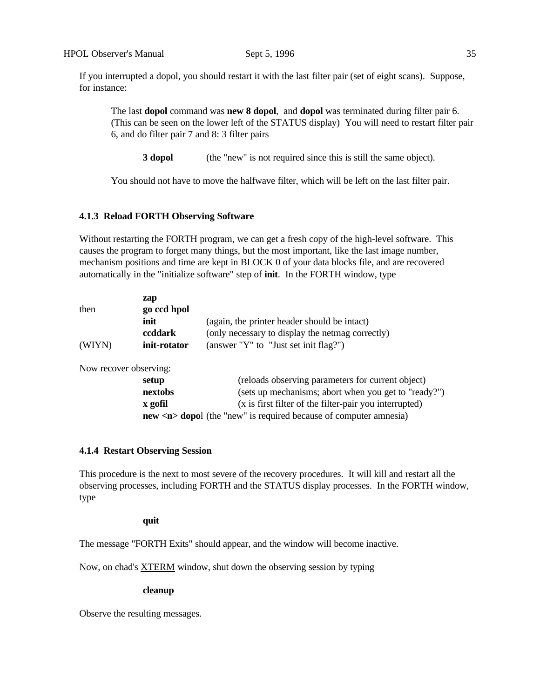If you interrupted a dopol, you should restart it with the last filter pair (set of eight scans). Suppose, for instance:

The last **dopol** command was **new 8 dopol**, and **dopol** was terminated during filter pair 6. (This can be seen on the lower left of the STATUS display) You will need to restart filter pair 6, and do filter pair 7 and 8: 3 filter pairs

**3 dopol** (the "new" is not required since this is still the same object).

You should not have to move the halfwave filter, which will be left on the last filter pair.

#### **4.1.3 Reload FORTH Observing Software**

Without restarting the FORTH program, we can get a fresh copy of the high-level software. This causes the program to forget many things, but the most important, like the last image number, mechanism positions and time are kept in BLOCK 0 of your data blocks file, and are recovered automatically in the "initialize software" step of **init**. In the FORTH window, type

| then   | zap<br>go ccd hpol |                                                  |
|--------|--------------------|--------------------------------------------------|
|        | init               | (again, the printer header should be intact)     |
|        | ccddark            | (only necessary to display the netmag correctly) |
| (WIYN) | init-rotator       | (answer "Y" to "Just set init flag?")            |

Now recover observing:

| setup                                                                        | (reloads observing parameters for current object)      |  |  |  |  |
|------------------------------------------------------------------------------|--------------------------------------------------------|--|--|--|--|
| nextobs                                                                      | (sets up mechanisms; abort when you get to "ready?")   |  |  |  |  |
| x gofil                                                                      | (x is first filter of the filter-pair you interrupted) |  |  |  |  |
| <b>new <n></n></b> dopol (the "new" is required because of computer amnesia) |                                                        |  |  |  |  |

#### **4.1.4 Restart Observing Session**

This procedure is the next to most severe of the recovery procedures. It will kill and restart all the observing processes, including FORTH and the STATUS display processes. In the FORTH window, type

#### **quit**

The message "FORTH Exits" should appear, and the window will become inactive.

Now, on chad's XTERM window, shut down the observing session by typing

#### **cleanup**

Observe the resulting messages.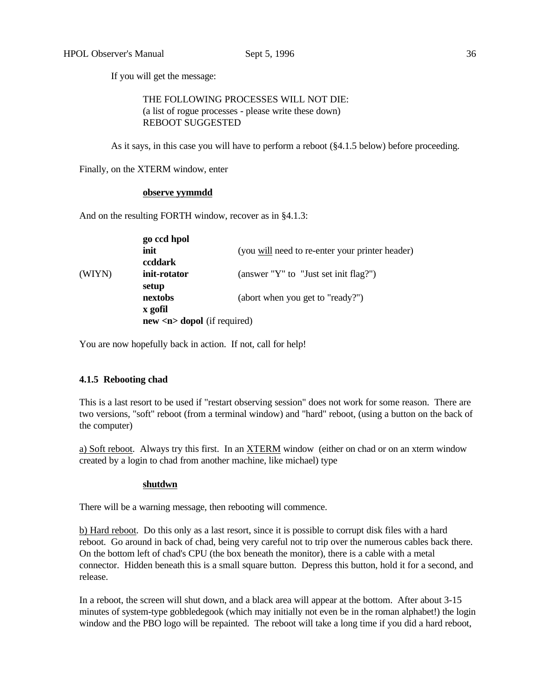If you will get the message:

 THE FOLLOWING PROCESSES WILL NOT DIE: (a list of rogue processes - please write these down) REBOOT SUGGESTED

As it says, in this case you will have to perform a reboot (§4.1.5 below) before proceeding.

Finally, on the XTERM window, enter

#### **observe yymmdd**

And on the resulting FORTH window, recover as in §4.1.3:

|        | go ccd hpol<br>init                        | (you will need to re-enter your printer header) |
|--------|--------------------------------------------|-------------------------------------------------|
| (WIYN) | ccddark<br>init-rotator                    | (answer "Y" to "Just set init flag?")           |
|        | setup<br>nextobs                           | (abort when you get to "ready?")                |
|        | x gofil<br>$new 1 loop loop (if required)$ |                                                 |

You are now hopefully back in action. If not, call for help!

#### **4.1.5 Rebooting chad**

This is a last resort to be used if "restart observing session" does not work for some reason. There are two versions, "soft" reboot (from a terminal window) and "hard" reboot, (using a button on the back of the computer)

a) Soft reboot. Always try this first. In an XTERM window (either on chad or on an xterm window created by a login to chad from another machine, like michael) type

#### **shutdwn**

There will be a warning message, then rebooting will commence.

b) Hard reboot. Do this only as a last resort, since it is possible to corrupt disk files with a hard reboot. Go around in back of chad, being very careful not to trip over the numerous cables back there. On the bottom left of chad's CPU (the box beneath the monitor), there is a cable with a metal connector. Hidden beneath this is a small square button. Depress this button, hold it for a second, and release.

In a reboot, the screen will shut down, and a black area will appear at the bottom. After about 3-15 minutes of system-type gobbledegook (which may initially not even be in the roman alphabet!) the login window and the PBO logo will be repainted. The reboot will take a long time if you did a hard reboot,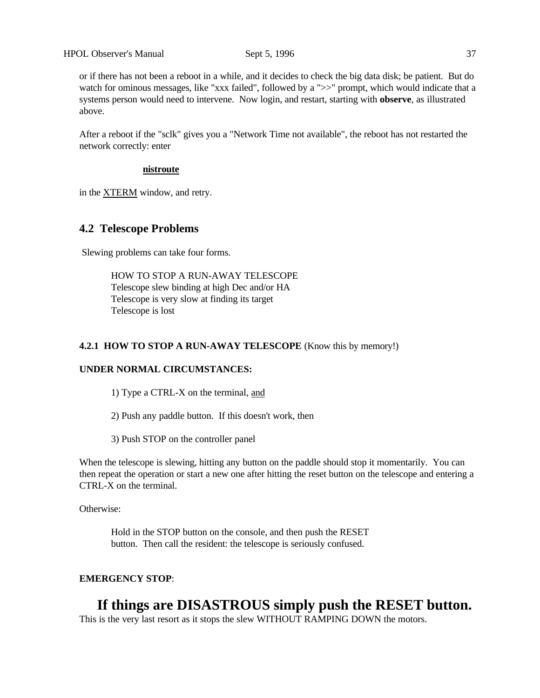or if there has not been a reboot in a while, and it decides to check the big data disk; be patient. But do watch for ominous messages, like "xxx failed", followed by a ">>" prompt, which would indicate that a systems person would need to intervene. Now login, and restart, starting with **observe**, as illustrated above.

After a reboot if the "sclk" gives you a "Network Time not available", the reboot has not restarted the network correctly: enter

#### **nistroute**

in the XTERM window, and retry.

# **4.2 Telescope Problems**

Slewing problems can take four forms.

HOW TO STOP A RUN-AWAY TELESCOPE Telescope slew binding at high Dec and/or HA Telescope is very slow at finding its target Telescope is lost

#### **4.2.1 HOW TO STOP A RUN-AWAY TELESCOPE** (Know this by memory!)

# **UNDER NORMAL CIRCUMSTANCES:**

1) Type a CTRL-X on the terminal, and

2) Push any paddle button. If this doesn't work, then

3) Push STOP on the controller panel

When the telescope is slewing, hitting any button on the paddle should stop it momentarily. You can then repeat the operation or start a new one after hitting the reset button on the telescope and entering a CTRL-X on the terminal.

Otherwise:

 Hold in the STOP button on the console, and then push the RESET button. Then call the resident: the telescope is seriously confused.

## **EMERGENCY STOP**:

# **If things are DISASTROUS simply push the RESET button.**

This is the very last resort as it stops the slew WITHOUT RAMPING DOWN the motors.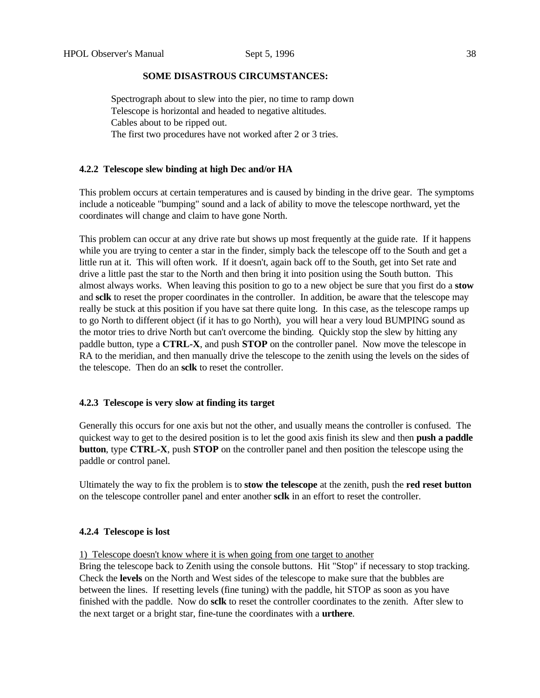#### **SOME DISASTROUS CIRCUMSTANCES:**

Spectrograph about to slew into the pier, no time to ramp down Telescope is horizontal and headed to negative altitudes. Cables about to be ripped out. The first two procedures have not worked after 2 or 3 tries.

# **4.2.2 Telescope slew binding at high Dec and/or HA**

This problem occurs at certain temperatures and is caused by binding in the drive gear. The symptoms include a noticeable "bumping" sound and a lack of ability to move the telescope northward, yet the coordinates will change and claim to have gone North.

This problem can occur at any drive rate but shows up most frequently at the guide rate. If it happens while you are trying to center a star in the finder, simply back the telescope off to the South and get a little run at it. This will often work. If it doesn't, again back off to the South, get into Set rate and drive a little past the star to the North and then bring it into position using the South button. This almost always works. When leaving this position to go to a new object be sure that you first do a **stow** and **sclk** to reset the proper coordinates in the controller. In addition, be aware that the telescope may really be stuck at this position if you have sat there quite long. In this case, as the telescope ramps up to go North to different object (if it has to go North), you will hear a very loud BUMPING sound as the motor tries to drive North but can't overcome the binding. Quickly stop the slew by hitting any paddle button, type a **CTRL-X**, and push **STOP** on the controller panel. Now move the telescope in RA to the meridian, and then manually drive the telescope to the zenith using the levels on the sides of the telescope. Then do an **sclk** to reset the controller.

#### **4.2.3 Telescope is very slow at finding its target**

Generally this occurs for one axis but not the other, and usually means the controller is confused. The quickest way to get to the desired position is to let the good axis finish its slew and then **push a paddle button**, type **CTRL-X**, push **STOP** on the controller panel and then position the telescope using the paddle or control panel.

Ultimately the way to fix the problem is to **stow the telescope** at the zenith, push the **red reset button** on the telescope controller panel and enter another **sclk** in an effort to reset the controller.

#### **4.2.4 Telescope is lost**

1) Telescope doesn't know where it is when going from one target to another

Bring the telescope back to Zenith using the console buttons. Hit "Stop" if necessary to stop tracking. Check the **levels** on the North and West sides of the telescope to make sure that the bubbles are between the lines. If resetting levels (fine tuning) with the paddle, hit STOP as soon as you have finished with the paddle. Now do **sclk** to reset the controller coordinates to the zenith. After slew to the next target or a bright star, fine-tune the coordinates with a **urthere**.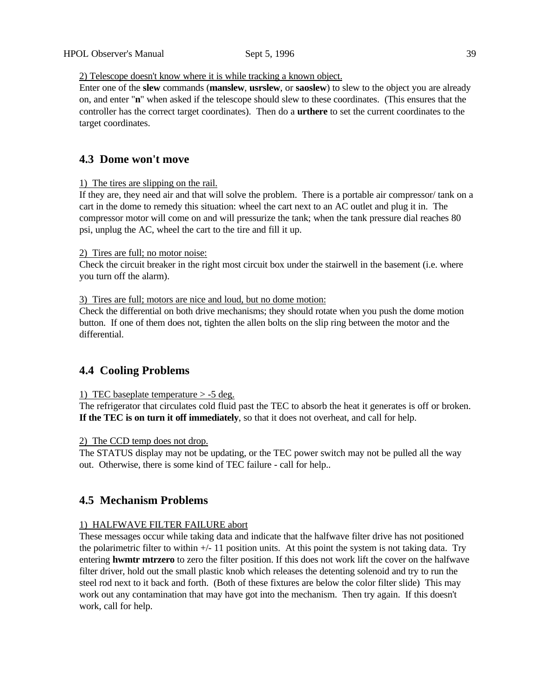# 2) Telescope doesn't know where it is while tracking a known object.

Enter one of the **slew** commands (**manslew**, **usrslew**, or **saoslew**) to slew to the object you are already on, and enter "**n**" when asked if the telescope should slew to these coordinates. (This ensures that the controller has the correct target coordinates). Then do a **urthere** to set the current coordinates to the target coordinates.

# **4.3 Dome won't move**

# 1) The tires are slipping on the rail.

If they are, they need air and that will solve the problem. There is a portable air compressor/ tank on a cart in the dome to remedy this situation: wheel the cart next to an AC outlet and plug it in. The compressor motor will come on and will pressurize the tank; when the tank pressure dial reaches 80 psi, unplug the AC, wheel the cart to the tire and fill it up.

# 2) Tires are full; no motor noise:

Check the circuit breaker in the right most circuit box under the stairwell in the basement (i.e. where you turn off the alarm).

# 3) Tires are full; motors are nice and loud, but no dome motion:

Check the differential on both drive mechanisms; they should rotate when you push the dome motion button. If one of them does not, tighten the allen bolts on the slip ring between the motor and the differential.

# **4.4 Cooling Problems**

# 1) TEC baseplate temperature > -5 deg.

The refrigerator that circulates cold fluid past the TEC to absorb the heat it generates is off or broken. **If the TEC is on turn it off immediately**, so that it does not overheat, and call for help.

# 2) The CCD temp does not drop.

The STATUS display may not be updating, or the TEC power switch may not be pulled all the way out. Otherwise, there is some kind of TEC failure - call for help..

# **4.5 Mechanism Problems**

# 1) HALFWAVE FILTER FAILURE abort

These messages occur while taking data and indicate that the halfwave filter drive has not positioned the polarimetric filter to within  $+/- 11$  position units. At this point the system is not taking data. Try entering **hwmtr mtrzero** to zero the filter position. If this does not work lift the cover on the halfwave filter driver, hold out the small plastic knob which releases the detenting solenoid and try to run the steel rod next to it back and forth. (Both of these fixtures are below the color filter slide) This may work out any contamination that may have got into the mechanism. Then try again. If this doesn't work, call for help.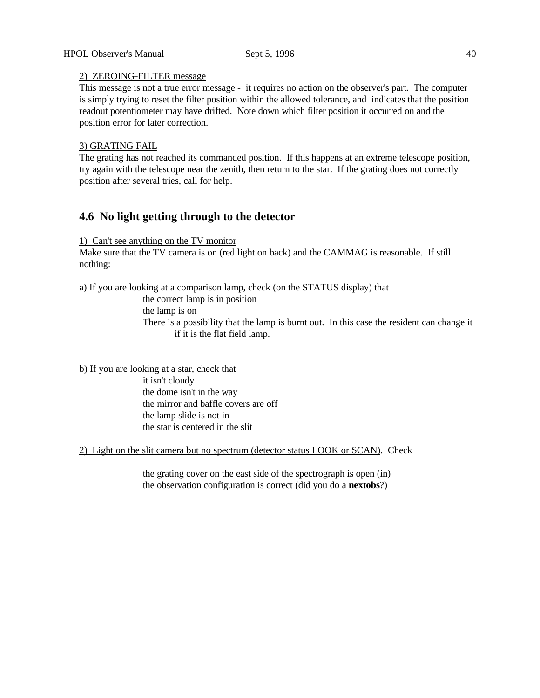# 2) ZEROING-FILTER message

This message is not a true error message - it requires no action on the observer's part. The computer is simply trying to reset the filter position within the allowed tolerance, and indicates that the position readout potentiometer may have drifted. Note down which filter position it occurred on and the position error for later correction.

# 3) GRATING FAIL

The grating has not reached its commanded position. If this happens at an extreme telescope position, try again with the telescope near the zenith, then return to the star. If the grating does not correctly position after several tries, call for help.

# **4.6 No light getting through to the detector**

1) Can't see anything on the TV monitor

Make sure that the TV camera is on (red light on back) and the CAMMAG is reasonable. If still nothing:

a) If you are looking at a comparison lamp, check (on the STATUS display) that

the correct lamp is in position

the lamp is on

There is a possibility that the lamp is burnt out. In this case the resident can change it if it is the flat field lamp.

b) If you are looking at a star, check that it isn't cloudy the dome isn't in the way the mirror and baffle covers are off the lamp slide is not in the star is centered in the slit

2) Light on the slit camera but no spectrum (detector status LOOK or SCAN). Check

the grating cover on the east side of the spectrograph is open (in) the observation configuration is correct (did you do a **nextobs**?)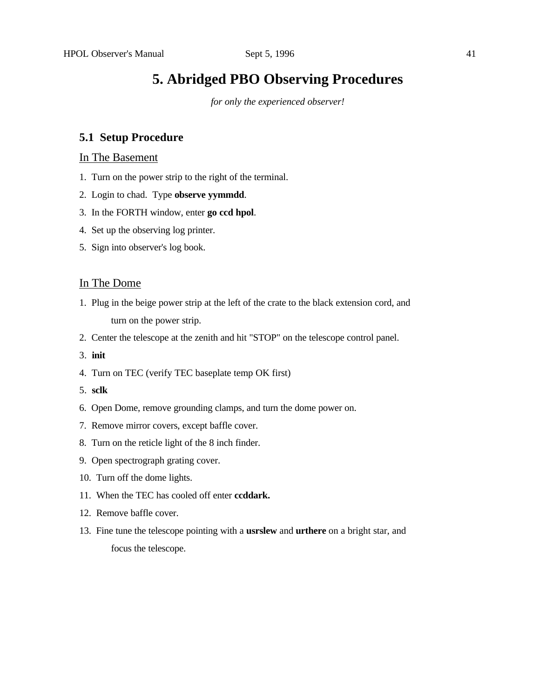# **5. Abridged PBO Observing Procedures**

*for only the experienced observer!*

# **5.1 Setup Procedure**

# In The Basement

- 1. Turn on the power strip to the right of the terminal.
- 2. Login to chad. Type **observe yymmdd**.
- 3. In the FORTH window, enter **go ccd hpol**.
- 4. Set up the observing log printer.
- 5. Sign into observer's log book.

# In The Dome

- 1. Plug in the beige power strip at the left of the crate to the black extension cord, and turn on the power strip.
- 2. Center the telescope at the zenith and hit "STOP" on the telescope control panel.
- 3. **init**
- 4. Turn on TEC (verify TEC baseplate temp OK first)
- 5. **sclk**
- 6. Open Dome, remove grounding clamps, and turn the dome power on.
- 7. Remove mirror covers, except baffle cover.
- 8. Turn on the reticle light of the 8 inch finder.
- 9. Open spectrograph grating cover.
- 10. Turn off the dome lights.
- 11. When the TEC has cooled off enter **ccddark.**
- 12. Remove baffle cover.
- 13. Fine tune the telescope pointing with a **usrslew** and **urthere** on a bright star, and focus the telescope.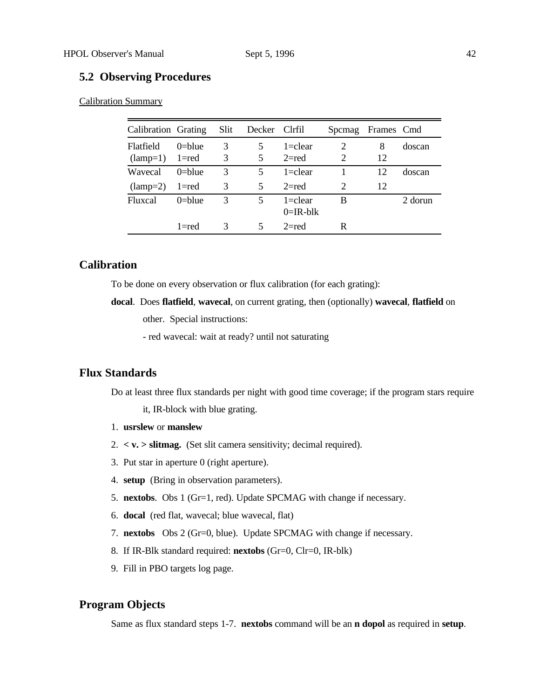# **5.2 Observing Procedures**

Calibration Summary

| Calibration Grating |            | Slit | Decker Clrfil |                            | <b>Spcmag</b>               | Frames Cmd |         |
|---------------------|------------|------|---------------|----------------------------|-----------------------------|------------|---------|
| <b>Flatfield</b>    | $0$ =blue  | 3    | 5             | $1 =$ clear                | 2                           | 8          | doscan  |
| $(lamp=1)$          | 1=red      | 3    | 5             | $2 = red$                  | 2                           | 12         |         |
| Wavecal             | $0$ =blue  | 3    | 5             | $1 =$ clear                |                             | 12         | doscan  |
| $(lamp=2)$ 1=red    |            | 3    | 5             | $2 = red$                  | $\mathcal{D}_{\mathcal{A}}$ | 12         |         |
| <b>Fluxcal</b>      | $0 =$ blue | 3    | 5             | $1 =$ clear<br>$0=IR$ -blk | B                           |            | 2 dorun |
|                     | $1 = red$  | 3    | 5             | $2 = red$                  | R                           |            |         |

# **Calibration**

To be done on every observation or flux calibration (for each grating):

**docal**. Does **flatfield**, **wavecal**, on current grating, then (optionally) **wavecal**, **flatfield** on

other. Special instructions:

- red wavecal: wait at ready? until not saturating

# **Flux Standards**

Do at least three flux standards per night with good time coverage; if the program stars require

it, IR-block with blue grating.

- 1. **usrslew** or **manslew**
- 2. **< v. > slitmag.** (Set slit camera sensitivity; decimal required).
- 3. Put star in aperture 0 (right aperture).
- 4. **setup** (Bring in observation parameters).
- 5. **nextobs**. Obs 1 (Gr=1, red). Update SPCMAG with change if necessary.
- 6. **docal** (red flat, wavecal; blue wavecal, flat)
- 7. **nextobs** Obs 2 (Gr=0, blue). Update SPCMAG with change if necessary.
- 8. If IR-Blk standard required: **nextobs** (Gr=0, Clr=0, IR-blk)
- 9. Fill in PBO targets log page.

# **Program Objects**

Same as flux standard steps 1-7. **nextobs** command will be an **n dopol** as required in **setup**.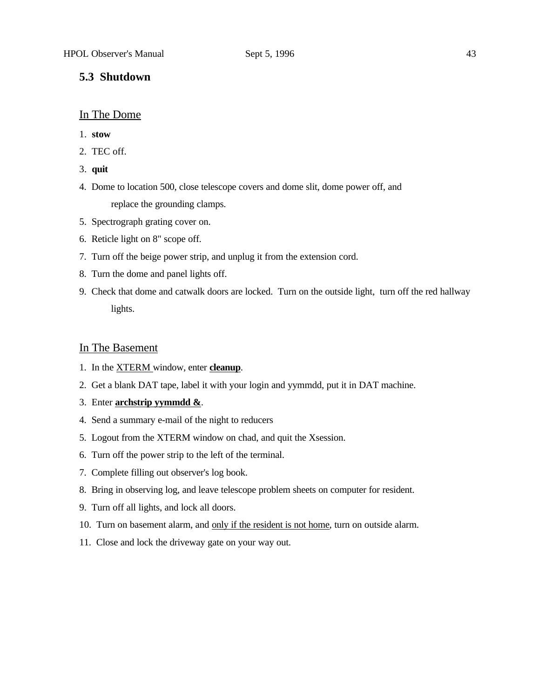## **5.3 Shutdown**

#### In The Dome

- 1. **stow**
- 2. TEC off.
- 3. **quit**
- 4. Dome to location 500, close telescope covers and dome slit, dome power off, and replace the grounding clamps.
- 5. Spectrograph grating cover on.
- 6. Reticle light on 8" scope off.
- 7. Turn off the beige power strip, and unplug it from the extension cord.
- 8. Turn the dome and panel lights off.
- 9. Check that dome and catwalk doors are locked. Turn on the outside light, turn off the red hallway lights.

# In The Basement

- 1. In the XTERM window, enter **cleanup**.
- 2. Get a blank DAT tape, label it with your login and yymmdd, put it in DAT machine.
- 3. Enter **archstrip yymmdd &**.
- 4. Send a summary e-mail of the night to reducers
- 5. Logout from the XTERM window on chad, and quit the Xsession.
- 6. Turn off the power strip to the left of the terminal.
- 7. Complete filling out observer's log book.
- 8. Bring in observing log, and leave telescope problem sheets on computer for resident.
- 9. Turn off all lights, and lock all doors.
- 10. Turn on basement alarm, and only if the resident is not home, turn on outside alarm.
- 11. Close and lock the driveway gate on your way out.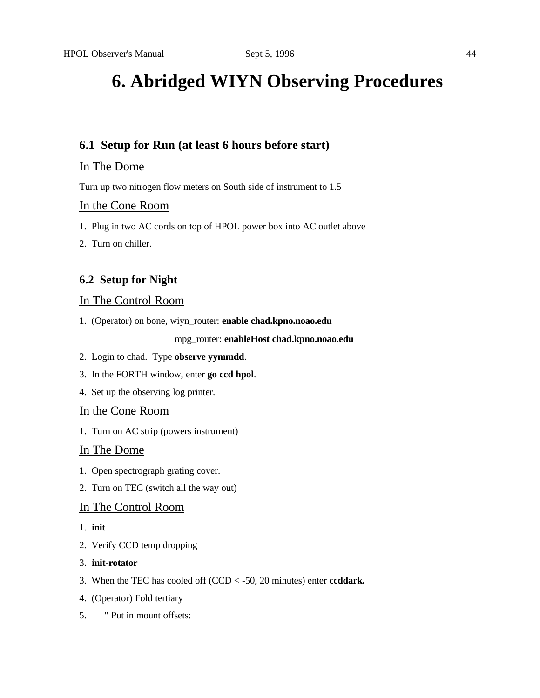# **6. Abridged WIYN Observing Procedures**

# **6.1 Setup for Run (at least 6 hours before start)**

# In The Dome

Turn up two nitrogen flow meters on South side of instrument to 1.5

# In the Cone Room

- 1. Plug in two AC cords on top of HPOL power box into AC outlet above
- 2. Turn on chiller.

# **6.2 Setup for Night**

# In The Control Room

1. (Operator) on bone, wiyn\_router: **enable chad.kpno.noao.edu**

# mpg\_router: **enableHost chad.kpno.noao.edu**

- 2. Login to chad. Type **observe yymmdd**.
- 3. In the FORTH window, enter **go ccd hpol**.
- 4. Set up the observing log printer.

# In the Cone Room

1. Turn on AC strip (powers instrument)

# In The Dome

- 1. Open spectrograph grating cover.
- 2. Turn on TEC (switch all the way out)

# In The Control Room

- 1. **init**
- 2. Verify CCD temp dropping
- 3. **init-rotator**
- 3. When the TEC has cooled off (CCD < -50, 20 minutes) enter **ccddark.**
- 4. (Operator) Fold tertiary
- 5. " Put in mount offsets: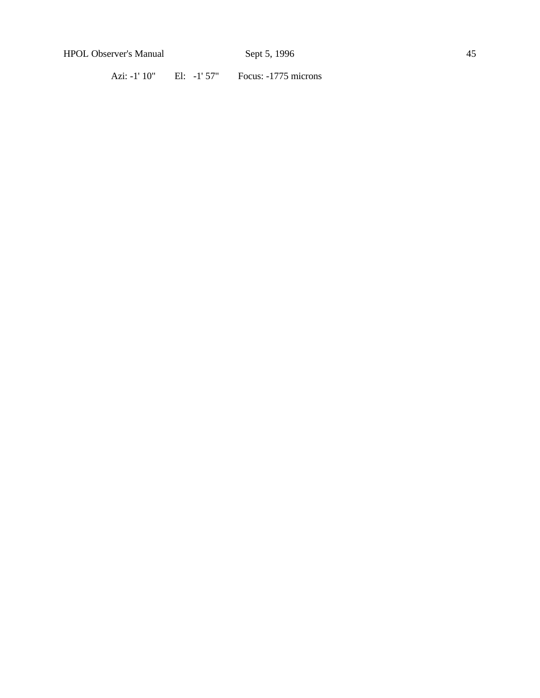Azi: -1' 10" El: -1' 57" Focus: -1775 microns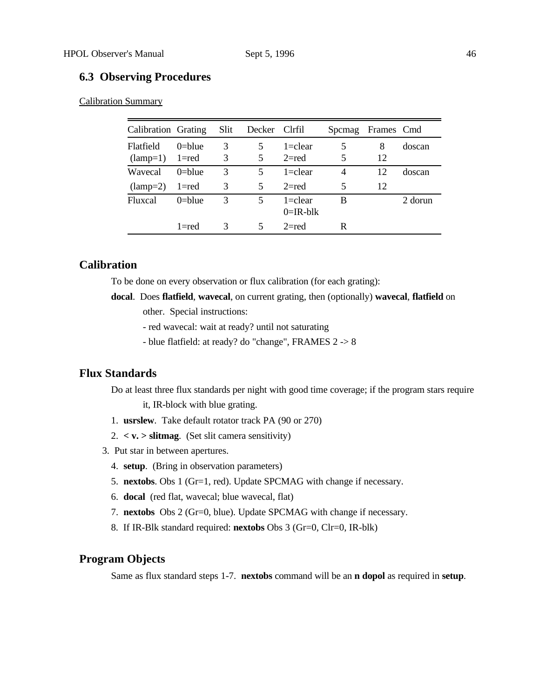# **6.3 Observing Procedures**

Calibration Summary

| Calibration Grating |            | Slit. | Decker Clrfil |                            | Spemag | Frames Cmd |         |
|---------------------|------------|-------|---------------|----------------------------|--------|------------|---------|
| Flatfield           | $0$ =blue  | 3     | 5             | $1 =$ clear                | 5      | 8          | doscan  |
| $(lamp=1)$          | 1=red      | 3     | 5             | $2 = red$                  | 5      | 12         |         |
| Wavecal             | $0$ =blue  | 3     | 5             | $1 =$ clear                | 4      | 12         | doscan  |
| $(lamp=2)$          | l=red      | 3     | 5             | $2 = red$                  | 5      | 12         |         |
| <b>Fluxcal</b>      | $0 =$ blue | 3     | 5             | $1 =$ clear<br>$0=IR$ -blk | B      |            | 2 dorun |
|                     | $1 = red$  | 3     | 5             | $2$ =red                   | R      |            |         |

# **Calibration**

To be done on every observation or flux calibration (for each grating):

- **docal**. Does **flatfield**, **wavecal**, on current grating, then (optionally) **wavecal**, **flatfield** on other. Special instructions:
	- red wavecal: wait at ready? until not saturating
	- blue flatfield: at ready? do "change", FRAMES 2 -> 8

# **Flux Standards**

Do at least three flux standards per night with good time coverage; if the program stars require it, IR-block with blue grating.

- 1. **usrslew**. Take default rotator track PA (90 or 270)
- 2. **< v. > slitmag**. (Set slit camera sensitivity)
- 3. Put star in between apertures.
	- 4. **setup**. (Bring in observation parameters)
	- 5. **nextobs**. Obs 1 (Gr=1, red). Update SPCMAG with change if necessary.
	- 6. **docal** (red flat, wavecal; blue wavecal, flat)
	- 7. **nextobs** Obs 2 (Gr=0, blue). Update SPCMAG with change if necessary.
	- 8. If IR-Blk standard required: **nextobs** Obs 3 (Gr=0, Clr=0, IR-blk)

# **Program Objects**

Same as flux standard steps 1-7. **nextobs** command will be an **n dopol** as required in **setup**.